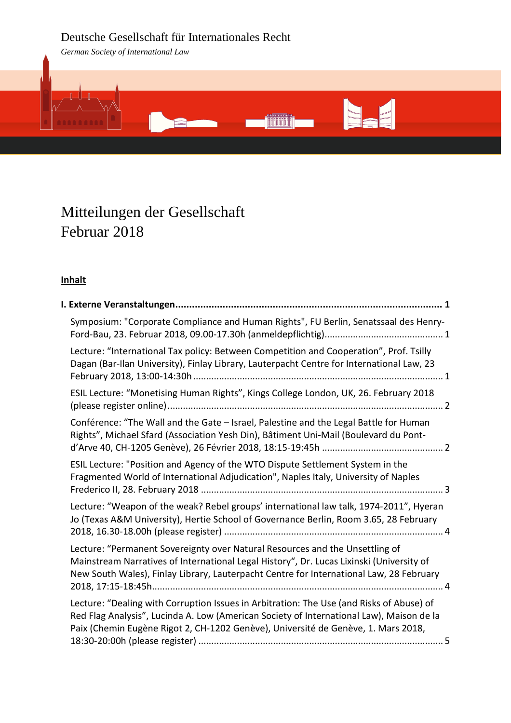# Deutsche Gesellschaft für Internationales Recht

*German Society of International Law*



# Mitteilungen der Gesellschaft Februar 2018

## **Inhalt**

| Symposium: "Corporate Compliance and Human Rights", FU Berlin, Senatssaal des Henry-                                                                                                                                                                                      |
|---------------------------------------------------------------------------------------------------------------------------------------------------------------------------------------------------------------------------------------------------------------------------|
| Lecture: "International Tax policy: Between Competition and Cooperation", Prof. Tsilly<br>Dagan (Bar-Ilan University), Finlay Library, Lauterpacht Centre for International Law, 23                                                                                       |
| ESIL Lecture: "Monetising Human Rights", Kings College London, UK, 26. February 2018                                                                                                                                                                                      |
| Conférence: "The Wall and the Gate - Israel, Palestine and the Legal Battle for Human<br>Rights", Michael Sfard (Association Yesh Din), Bâtiment Uni-Mail (Boulevard du Pont-                                                                                             |
| ESIL Lecture: "Position and Agency of the WTO Dispute Settlement System in the<br>Fragmented World of International Adjudication", Naples Italy, University of Naples                                                                                                     |
| Lecture: "Weapon of the weak? Rebel groups' international law talk, 1974-2011", Hyeran<br>Jo (Texas A&M University), Hertie School of Governance Berlin, Room 3.65, 28 February                                                                                           |
| Lecture: "Permanent Sovereignty over Natural Resources and the Unsettling of<br>Mainstream Narratives of International Legal History", Dr. Lucas Lixinski (University of<br>New South Wales), Finlay Library, Lauterpacht Centre for International Law, 28 February       |
| Lecture: "Dealing with Corruption Issues in Arbitration: The Use (and Risks of Abuse) of<br>Red Flag Analysis", Lucinda A. Low (American Society of International Law), Maison de la<br>Paix (Chemin Eugène Rigot 2, CH-1202 Genève), Université de Genève, 1. Mars 2018, |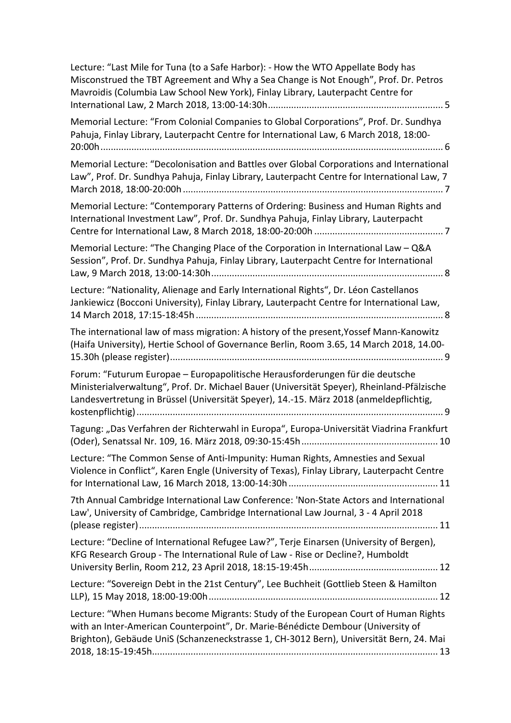| Lecture: "Last Mile for Tuna (to a Safe Harbor): - How the WTO Appellate Body has<br>Misconstrued the TBT Agreement and Why a Sea Change is Not Enough", Prof. Dr. Petros<br>Mavroidis (Columbia Law School New York), Finlay Library, Lauterpacht Centre for         |
|-----------------------------------------------------------------------------------------------------------------------------------------------------------------------------------------------------------------------------------------------------------------------|
| Memorial Lecture: "From Colonial Companies to Global Corporations", Prof. Dr. Sundhya<br>Pahuja, Finlay Library, Lauterpacht Centre for International Law, 6 March 2018, 18:00-                                                                                       |
| Memorial Lecture: "Decolonisation and Battles over Global Corporations and International<br>Law", Prof. Dr. Sundhya Pahuja, Finlay Library, Lauterpacht Centre for International Law, 7                                                                               |
| Memorial Lecture: "Contemporary Patterns of Ordering: Business and Human Rights and<br>International Investment Law", Prof. Dr. Sundhya Pahuja, Finlay Library, Lauterpacht                                                                                           |
| Memorial Lecture: "The Changing Place of the Corporation in International Law - Q&A<br>Session", Prof. Dr. Sundhya Pahuja, Finlay Library, Lauterpacht Centre for International                                                                                       |
| Lecture: "Nationality, Alienage and Early International Rights", Dr. Léon Castellanos<br>Jankiewicz (Bocconi University), Finlay Library, Lauterpacht Centre for International Law,                                                                                   |
| The international law of mass migration: A history of the present, Yossef Mann-Kanowitz<br>(Haifa University), Hertie School of Governance Berlin, Room 3.65, 14 March 2018, 14.00-                                                                                   |
| Forum: "Futurum Europae - Europapolitische Herausforderungen für die deutsche<br>Ministerialverwaltung", Prof. Dr. Michael Bauer (Universität Speyer), Rheinland-Pfälzische<br>Landesvertretung in Brüssel (Universität Speyer), 14.-15. März 2018 (anmeldepflichtig, |
| Tagung: "Das Verfahren der Richterwahl in Europa", Europa-Universität Viadrina Frankfurt                                                                                                                                                                              |
| Lecture: "The Common Sense of Anti-Impunity: Human Rights, Amnesties and Sexual<br>Violence in Conflict", Karen Engle (University of Texas), Finlay Library, Lauterpacht Centre                                                                                       |
| 7th Annual Cambridge International Law Conference: 'Non-State Actors and International<br>Law', University of Cambridge, Cambridge International Law Journal, 3 - 4 April 2018                                                                                        |
| Lecture: "Decline of International Refugee Law?", Terje Einarsen (University of Bergen),<br>KFG Research Group - The International Rule of Law - Rise or Decline?, Humboldt                                                                                           |
| Lecture: "Sovereign Debt in the 21st Century", Lee Buchheit (Gottlieb Steen & Hamilton                                                                                                                                                                                |
| Lecture: "When Humans become Migrants: Study of the European Court of Human Rights<br>with an Inter-American Counterpoint", Dr. Marie-Bénédicte Dembour (University of<br>Brighton), Gebäude UniS (Schanzeneckstrasse 1, CH-3012 Bern), Universität Bern, 24. Mai     |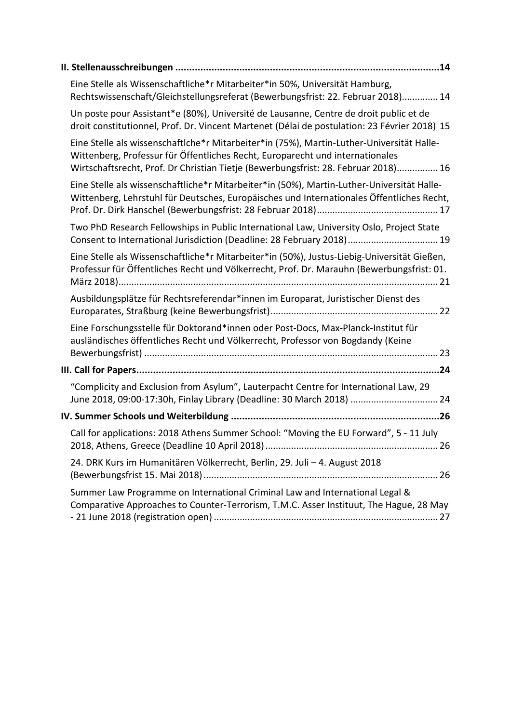| Eine Stelle als Wissenschaftliche*r Mitarbeiter*in 50%, Universität Hamburg,<br>Rechtswissenschaft/Gleichstellungsreferat (Bewerbungsfrist: 22. Februar 2018) 14                                                                                                 |  |
|------------------------------------------------------------------------------------------------------------------------------------------------------------------------------------------------------------------------------------------------------------------|--|
| Un poste pour Assistant*e (80%), Université de Lausanne, Centre de droit public et de<br>droit constitutionnel, Prof. Dr. Vincent Martenet (Délai de postulation: 23 Février 2018) 15                                                                            |  |
| Eine Stelle als wissenschaftlche*r Mitarbeiter*in (75%), Martin-Luther-Universität Halle-<br>Wittenberg, Professur für Öffentliches Recht, Europarecht und internationales<br>Wirtschaftsrecht, Prof. Dr Christian Tietje (Bewerbungsfrist: 28. Februar 2018) 16 |  |
| Eine Stelle als wissenschaftliche*r Mitarbeiter*in (50%), Martin-Luther-Universität Halle-<br>Wittenberg, Lehrstuhl für Deutsches, Europäisches und Internationales Öffentliches Recht,                                                                          |  |
| Two PhD Research Fellowships in Public International Law, University Oslo, Project State<br>Consent to International Jurisdiction (Deadline: 28 February 2018) 19                                                                                                |  |
| Eine Stelle als Wissenschaftliche*r Mitarbeiter*in (50%), Justus-Liebig-Universität Gießen,<br>Professur für Öffentliches Recht und Völkerrecht, Prof. Dr. Marauhn (Bewerbungsfrist: 01.                                                                         |  |
| Ausbildungsplätze für Rechtsreferendar*innen im Europarat, Juristischer Dienst des                                                                                                                                                                               |  |
| Eine Forschungsstelle für Doktorand*innen oder Post-Docs, Max-Planck-Institut für<br>ausländisches öffentliches Recht und Völkerrecht, Professor von Bogdandy (Keine                                                                                             |  |
|                                                                                                                                                                                                                                                                  |  |
| "Complicity and Exclusion from Asylum", Lauterpacht Centre for International Law, 29<br>June 2018, 09:00-17:30h, Finlay Library (Deadline: 30 March 2018)  24                                                                                                    |  |
|                                                                                                                                                                                                                                                                  |  |
| Call for applications: 2018 Athens Summer School: "Moving the EU Forward", 5 - 11 July                                                                                                                                                                           |  |
| 24. DRK Kurs im Humanitären Völkerrecht, Berlin, 29. Juli - 4. August 2018                                                                                                                                                                                       |  |
| Summer Law Programme on International Criminal Law and International Legal &<br>Comparative Approaches to Counter-Terrorism, T.M.C. Asser Instituut, The Hague, 28 May                                                                                           |  |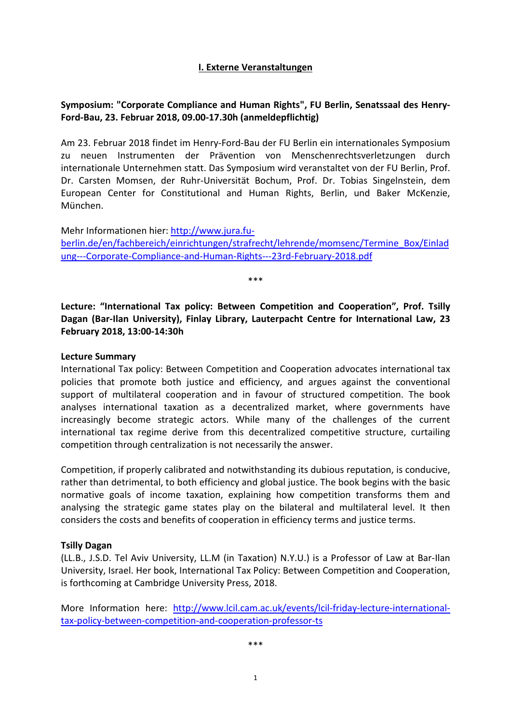## **I. Externe Veranstaltungen**

## <span id="page-3-1"></span><span id="page-3-0"></span>**Symposium: "Corporate Compliance and Human Rights", FU Berlin, Senatssaal des Henry-Ford-Bau, 23. Februar 2018, 09.00-17.30h (anmeldepflichtig)**

Am 23. Februar 2018 findet im Henry-Ford-Bau der FU Berlin ein internationales Symposium zu neuen Instrumenten der Prävention von Menschenrechtsverletzungen durch internationale Unternehmen statt. Das Symposium wird veranstaltet von der FU Berlin, Prof. Dr. Carsten Momsen, der Ruhr-Universität Bochum, Prof. Dr. Tobias Singelnstein, dem European Center for Constitutional and Human Rights, Berlin, und Baker McKenzie, München.

Mehr Informationen hier[: http://www.jura.fu](http://www.jura.fu-berlin.de/en/fachbereich/einrichtungen/strafrecht/lehrende/momsenc/Termine_Box/Einladung---Corporate-Compliance-and-Human-Rights---23rd-February-2018.pdf)[berlin.de/en/fachbereich/einrichtungen/strafrecht/lehrende/momsenc/Termine\\_Box/Einlad](http://www.jura.fu-berlin.de/en/fachbereich/einrichtungen/strafrecht/lehrende/momsenc/Termine_Box/Einladung---Corporate-Compliance-and-Human-Rights---23rd-February-2018.pdf) [ung---Corporate-Compliance-and-Human-Rights---23rd-February-2018.pdf](http://www.jura.fu-berlin.de/en/fachbereich/einrichtungen/strafrecht/lehrende/momsenc/Termine_Box/Einladung---Corporate-Compliance-and-Human-Rights---23rd-February-2018.pdf)

\*\*\*

<span id="page-3-2"></span>**Lecture: "International Tax policy: Between Competition and Cooperation", Prof. Tsilly Dagan (Bar-Ilan University), Finlay Library, Lauterpacht Centre for International Law, 23 February 2018, 13:00-14:30h**

## **Lecture Summary**

International Tax policy: Between Competition and Cooperation advocates international tax policies that promote both justice and efficiency, and argues against the conventional support of multilateral cooperation and in favour of structured competition. The book analyses international taxation as a decentralized market, where governments have increasingly become strategic actors. While many of the challenges of the current international tax regime derive from this decentralized competitive structure, curtailing competition through centralization is not necessarily the answer.

Competition, if properly calibrated and notwithstanding its dubious reputation, is conducive, rather than detrimental, to both efficiency and global justice. The book begins with the basic normative goals of income taxation, explaining how competition transforms them and analysing the strategic game states play on the bilateral and multilateral level. It then considers the costs and benefits of cooperation in efficiency terms and justice terms.

#### **Tsilly Dagan**

(LL.B., J.S.D. Tel Aviv University, LL.M (in Taxation) N.Y.U.) is a Professor of Law at Bar-Ilan University, Israel. Her book, International Tax Policy: Between Competition and Cooperation, is forthcoming at Cambridge University Press, 2018.

More Information here: [http://www.lcil.cam.ac.uk/events/lcil-friday-lecture-international](http://www.lcil.cam.ac.uk/events/lcil-friday-lecture-international-tax-policy-between-competition-and-cooperation-professor-ts)[tax-policy-between-competition-and-cooperation-professor-ts](http://www.lcil.cam.ac.uk/events/lcil-friday-lecture-international-tax-policy-between-competition-and-cooperation-professor-ts)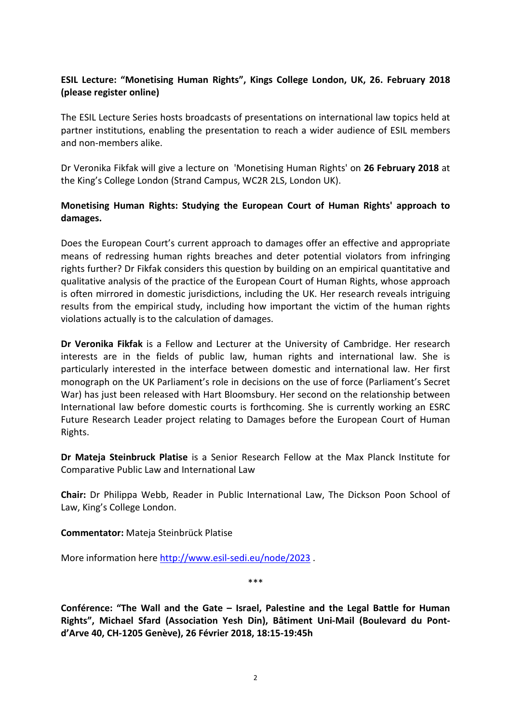## <span id="page-4-0"></span>**ESIL Lecture: "Monetising Human Rights", Kings College London, UK, 26. February 2018 (please register online)**

The ESIL Lecture Series hosts broadcasts of presentations on international law topics held at partner institutions, enabling the presentation to reach a wider audience of ESIL members and non-members alike.

Dr Veronika Fikfak will give a lecture on 'Monetising Human Rights' on **26 February 2018** at the King's College London (Strand Campus, WC2R 2LS, London UK).

## **Monetising Human Rights: Studying the European Court of Human Rights' approach to damages.**

Does the European Court's current approach to damages offer an effective and appropriate means of redressing human rights breaches and deter potential violators from infringing rights further? Dr Fikfak considers this question by building on an empirical quantitative and qualitative analysis of the practice of the European Court of Human Rights, whose approach is often mirrored in domestic jurisdictions, including the UK. Her research reveals intriguing results from the empirical study, including how important the victim of the human rights violations actually is to the calculation of damages.

**Dr Veronika Fikfak** is a Fellow and Lecturer at the University of Cambridge. Her research interests are in the fields of public law, human rights and international law. She is particularly interested in the interface between domestic and international law. Her first monograph on the UK Parliament's role in decisions on the use of force (Parliament's Secret War) has just been released with Hart Bloomsbury. Her second on the relationship between International law before domestic courts is forthcoming. She is currently working an ESRC Future Research Leader project relating to Damages before the European Court of Human Rights.

**Dr Mateja Steinbruck Platise** is a Senior Research Fellow at the Max Planck Institute for Comparative Public Law and International Law

**Chair:** Dr Philippa Webb, Reader in Public International Law, The Dickson Poon School of Law, King's College London.

**Commentator:** Mateja Steinbrück Platise

More information here<http://www.esil-sedi.eu/node/2023> .

\*\*\*

<span id="page-4-1"></span>**Conférence: "The Wall and the Gate – Israel, Palestine and the Legal Battle for Human Rights", Michael Sfard (Association Yesh Din), Bâtiment Uni-Mail (Boulevard du Pontd'Arve 40, CH-1205 Genève), 26 Février 2018, 18:15-19:45h**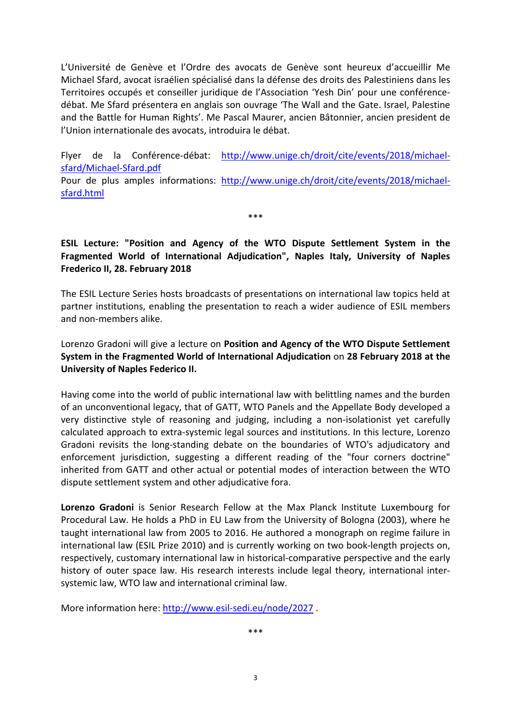L'Université de Genève et l'Ordre des avocats de Genève sont heureux d'accueillir Me Michael Sfard, avocat israélien spécialisé dans la défense des droits des Palestiniens dans les Territoires occupés et conseiller juridique de l'Association 'Yesh Din' pour une conférencedébat. Me Sfard présentera en anglais son ouvrage 'The Wall and the Gate. Israel, Palestine and the Battle for Human Rights'. Me Pascal Maurer, ancien Bâtonnier, ancien president de l'Union internationale des avocats, introduira le débat.

Flyer de la Conférence-débat: [http://www.unige.ch/droit/cite/events/2018/michael](http://www.unige.ch/droit/cite/events/2018/michael-sfard/Michael-Sfard.pdf)[sfard/Michael-Sfard.pdf](http://www.unige.ch/droit/cite/events/2018/michael-sfard/Michael-Sfard.pdf)

Pour de plus amples informations: [http://www.unige.ch/droit/cite/events/2018/michael](http://www.unige.ch/droit/cite/events/2018/michael-sfard.html)[sfard.html](http://www.unige.ch/droit/cite/events/2018/michael-sfard.html)

\*\*\*

## <span id="page-5-0"></span>**ESIL Lecture: "Position and Agency of the WTO Dispute Settlement System in the Fragmented World of International Adjudication", Naples Italy, University of Naples Frederico II, 28. February 2018**

The ESIL Lecture Series hosts broadcasts of presentations on international law topics held at partner institutions, enabling the presentation to reach a wider audience of ESIL members and non-members alike.

Lorenzo Gradoni will give a lecture on **Position and Agency of the WTO Dispute Settlement System in the Fragmented World of International Adjudication** on **28 February 2018 at the University of Naples Federico II.**

Having come into the world of public international law with belittling names and the burden of an unconventional legacy, that of GATT, WTO Panels and the Appellate Body developed a very distinctive style of reasoning and judging, including a non-isolationist yet carefully calculated approach to extra-systemic legal sources and institutions. In this lecture, Lorenzo Gradoni revisits the long-standing debate on the boundaries of WTO's adjudicatory and enforcement jurisdiction, suggesting a different reading of the "four corners doctrine" inherited from GATT and other actual or potential modes of interaction between the WTO dispute settlement system and other adjudicative fora.

**Lorenzo Gradoni** is Senior Research Fellow at the Max Planck Institute Luxembourg for Procedural Law. He holds a PhD in EU Law from the University of Bologna (2003), where he taught international law from 2005 to 2016. He authored a monograph on regime failure in international law (ESIL Prize 2010) and is currently working on two book-length projects on, respectively, customary international law in historical-comparative perspective and the early history of outer space law. His research interests include legal theory, international intersystemic law, WTO law and international criminal law.

More information here:<http://www.esil-sedi.eu/node/2027> .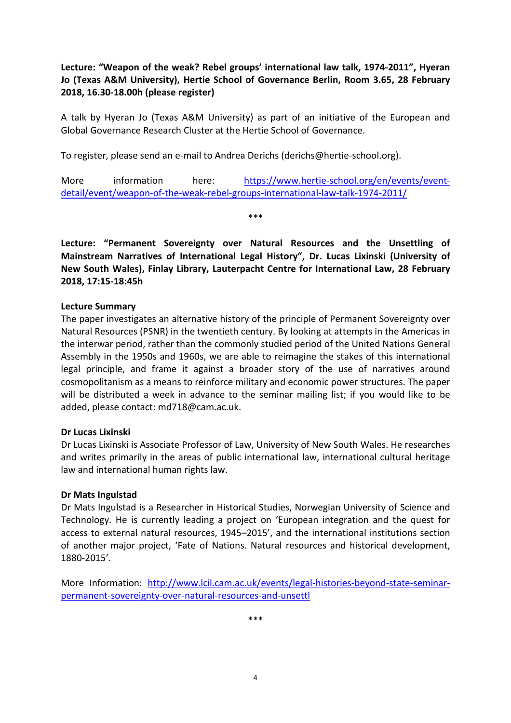<span id="page-6-0"></span>**Lecture: "Weapon of the weak? Rebel groups' international law talk, 1974-2011", Hyeran Jo (Texas A&M University), Hertie School of Governance Berlin, Room 3.65, 28 February 2018, 16.30-18.00h (please register)**

A talk by Hyeran Jo (Texas A&M University) as part of an initiative of the European and Global Governance Research Cluster at the Hertie School of Governance.

To register, please send an e-mail to Andrea Derichs (derichs@hertie-school.org).

More information here: [https://www.hertie-school.org/en/events/event](https://www.hertie-school.org/en/events/event-detail/event/weapon-of-the-weak-rebel-groups-international-law-talk-1974-2011/)[detail/event/weapon-of-the-weak-rebel-groups-international-law-talk-1974-2011/](https://www.hertie-school.org/en/events/event-detail/event/weapon-of-the-weak-rebel-groups-international-law-talk-1974-2011/)

\*\*\*

<span id="page-6-1"></span>**Lecture: "Permanent Sovereignty over Natural Resources and the Unsettling of Mainstream Narratives of International Legal History", Dr. Lucas Lixinski (University of New South Wales), Finlay Library, Lauterpacht Centre for International Law, 28 February 2018, 17:15-18:45h**

#### **Lecture Summary**

The paper investigates an alternative history of the principle of Permanent Sovereignty over Natural Resources (PSNR) in the twentieth century. By looking at attempts in the Americas in the interwar period, rather than the commonly studied period of the United Nations General Assembly in the 1950s and 1960s, we are able to reimagine the stakes of this international legal principle, and frame it against a broader story of the use of narratives around cosmopolitanism as a means to reinforce military and economic power structures. The paper will be distributed a week in advance to the seminar mailing list; if you would like to be added, please contact: md718@cam.ac.uk.

#### **Dr Lucas Lixinski**

Dr Lucas Lixinski is Associate Professor of Law, University of New South Wales. He researches and writes primarily in the areas of public international law, international cultural heritage law and international human rights law.

#### **Dr Mats Ingulstad**

Dr Mats Ingulstad is a Researcher in Historical Studies, Norwegian University of Science and Technology. He is currently leading a project on 'European integration and the quest for access to external natural resources, 1945–2015', and the international institutions section of another major project, 'Fate of Nations. Natural resources and historical development, 1880-2015'.

More Information: [http://www.lcil.cam.ac.uk/events/legal-histories-beyond-state-seminar](http://www.lcil.cam.ac.uk/events/legal-histories-beyond-state-seminar-permanent-sovereignty-over-natural-resources-and-unsettl)[permanent-sovereignty-over-natural-resources-and-unsettl](http://www.lcil.cam.ac.uk/events/legal-histories-beyond-state-seminar-permanent-sovereignty-over-natural-resources-and-unsettl)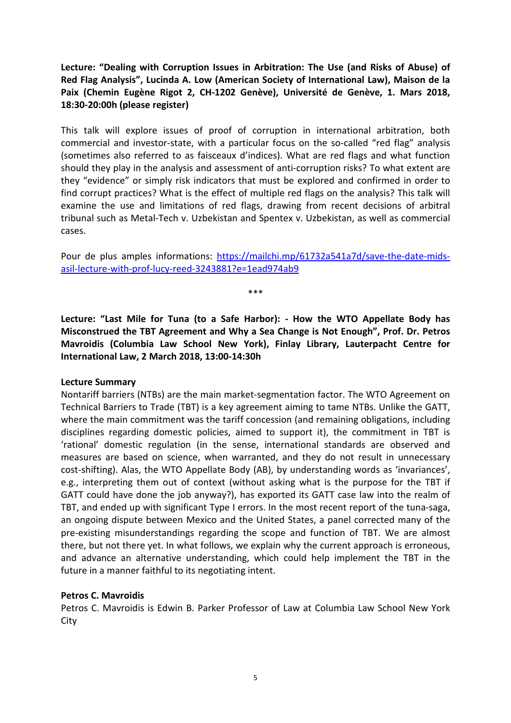<span id="page-7-0"></span>**Lecture: "Dealing with Corruption Issues in Arbitration: The Use (and Risks of Abuse) of Red Flag Analysis", Lucinda A. Low (American Society of International Law), Maison de la Paix (Chemin Eugène Rigot 2, CH-1202 Genève), Université de Genève, 1. Mars 2018, 18:30-20:00h (please register)**

This talk will explore issues of proof of corruption in international arbitration, both commercial and investor-state, with a particular focus on the so-called "red flag" analysis (sometimes also referred to as faisceaux d'indices). What are red flags and what function should they play in the analysis and assessment of anti-corruption risks? To what extent are they "evidence" or simply risk indicators that must be explored and confirmed in order to find corrupt practices? What is the effect of multiple red flags on the analysis? This talk will examine the use and limitations of red flags, drawing from recent decisions of arbitral tribunal such as Metal-Tech v. Uzbekistan and Spentex v. Uzbekistan, as well as commercial cases.

Pour de plus amples informations: [https://mailchi.mp/61732a541a7d/save-the-date-mids](https://mailchi.mp/61732a541a7d/save-the-date-mids-asil-lecture-with-prof-lucy-reed-3243881?e=1ead974ab9)[asil-lecture-with-prof-lucy-reed-3243881?e=1ead974ab9](https://mailchi.mp/61732a541a7d/save-the-date-mids-asil-lecture-with-prof-lucy-reed-3243881?e=1ead974ab9)

\*\*\*

<span id="page-7-1"></span>**Lecture: "Last Mile for Tuna (to a Safe Harbor): - How the WTO Appellate Body has Misconstrued the TBT Agreement and Why a Sea Change is Not Enough", Prof. Dr. Petros Mavroidis (Columbia Law School New York), Finlay Library, Lauterpacht Centre for International Law, 2 March 2018, 13:00-14:30h**

#### **Lecture Summary**

Nontariff barriers (NTBs) are the main market-segmentation factor. The WTO Agreement on Technical Barriers to Trade (TBT) is a key agreement aiming to tame NTBs. Unlike the GATT, where the main commitment was the tariff concession (and remaining obligations, including disciplines regarding domestic policies, aimed to support it), the commitment in TBT is 'rational' domestic regulation (in the sense, international standards are observed and measures are based on science, when warranted, and they do not result in unnecessary cost-shifting). Alas, the WTO Appellate Body (AB), by understanding words as 'invariances', e.g., interpreting them out of context (without asking what is the purpose for the TBT if GATT could have done the job anyway?), has exported its GATT case law into the realm of TBT, and ended up with significant Type I errors. In the most recent report of the tuna-saga, an ongoing dispute between Mexico and the United States, a panel corrected many of the pre-existing misunderstandings regarding the scope and function of TBT. We are almost there, but not there yet. In what follows, we explain why the current approach is erroneous, and advance an alternative understanding, which could help implement the TBT in the future in a manner faithful to its negotiating intent.

## **Petros C. Mavroidis**

Petros C. Mavroidis is Edwin B. Parker Professor of Law at Columbia Law School New York **City**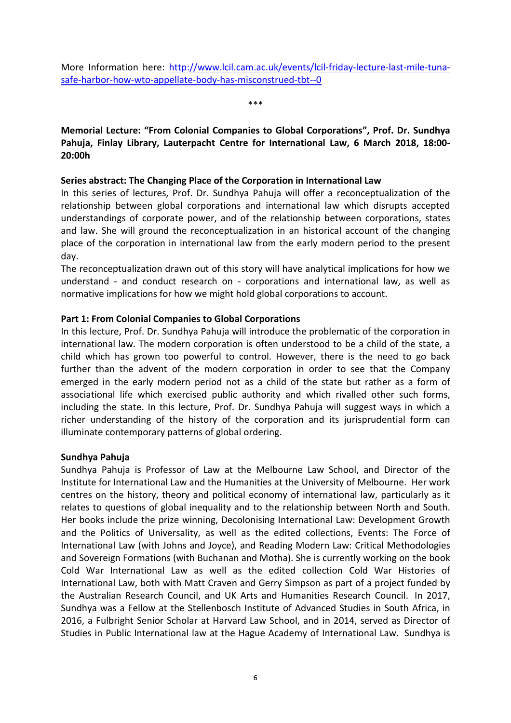\*\*\*

## <span id="page-8-0"></span>**Memorial Lecture: "From Colonial Companies to Global Corporations", Prof. Dr. Sundhya Pahuja, Finlay Library, Lauterpacht Centre for International Law, 6 March 2018, 18:00- 20:00h**

## **Series abstract: The Changing Place of the Corporation in International Law**

In this series of lectures, Prof. Dr. Sundhya Pahuja will offer a reconceptualization of the relationship between global corporations and international law which disrupts accepted understandings of corporate power, and of the relationship between corporations, states and law. She will ground the reconceptualization in an historical account of the changing place of the corporation in international law from the early modern period to the present day.

The reconceptualization drawn out of this story will have analytical implications for how we understand - and conduct research on - corporations and international law, as well as normative implications for how we might hold global corporations to account.

## **Part 1: From Colonial Companies to Global Corporations**

In this lecture, Prof. Dr. Sundhya Pahuja will introduce the problematic of the corporation in international law. The modern corporation is often understood to be a child of the state, a child which has grown too powerful to control. However, there is the need to go back further than the advent of the modern corporation in order to see that the Company emerged in the early modern period not as a child of the state but rather as a form of associational life which exercised public authority and which rivalled other such forms, including the state. In this lecture, Prof. Dr. Sundhya Pahuja will suggest ways in which a richer understanding of the history of the corporation and its jurisprudential form can illuminate contemporary patterns of global ordering.

## **Sundhya Pahuja**

Sundhya Pahuja is Professor of Law at the Melbourne Law School, and Director of the Institute for International Law and the Humanities at the University of Melbourne. Her work centres on the history, theory and political economy of international law, particularly as it relates to questions of global inequality and to the relationship between North and South. Her books include the prize winning, Decolonising International Law: Development Growth and the Politics of Universality, as well as the edited collections, Events: The Force of International Law (with Johns and Joyce), and Reading Modern Law: Critical Methodologies and Sovereign Formations (with Buchanan and Motha). She is currently working on the book Cold War International Law as well as the edited collection Cold War Histories of International Law, both with Matt Craven and Gerry Simpson as part of a project funded by the Australian Research Council, and UK Arts and Humanities Research Council. In 2017, Sundhya was a Fellow at the Stellenbosch Institute of Advanced Studies in South Africa, in 2016, a Fulbright Senior Scholar at Harvard Law School, and in 2014, served as Director of Studies in Public International law at the Hague Academy of International Law. Sundhya is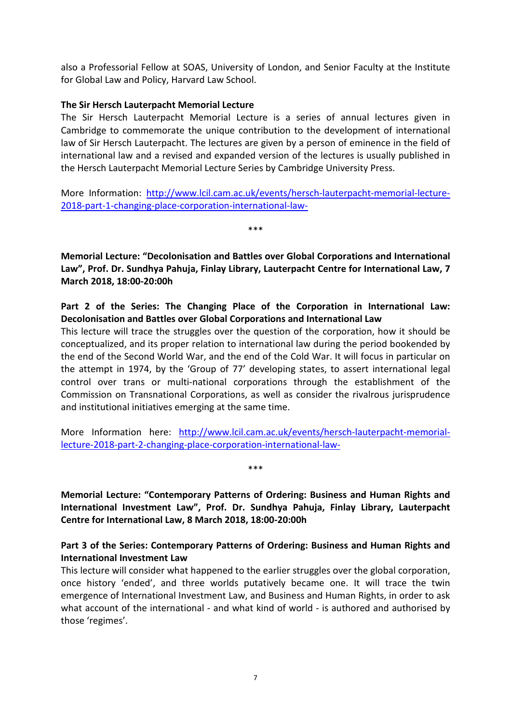also a Professorial Fellow at SOAS, University of London, and Senior Faculty at the Institute for Global Law and Policy, Harvard Law School.

## **The Sir Hersch Lauterpacht Memorial Lecture**

The Sir Hersch Lauterpacht Memorial Lecture is a series of annual lectures given in Cambridge to commemorate the unique contribution to the development of international law of Sir Hersch Lauterpacht. The lectures are given by a person of eminence in the field of international law and a revised and expanded version of the lectures is usually published in the Hersch Lauterpacht Memorial Lecture Series by Cambridge University Press.

More Information: [http://www.lcil.cam.ac.uk/events/hersch-lauterpacht-memorial-lecture-](http://www.lcil.cam.ac.uk/events/hersch-lauterpacht-memorial-lecture-2018-part-1-changing-place-corporation-international-law-)[2018-part-1-changing-place-corporation-international-law-](http://www.lcil.cam.ac.uk/events/hersch-lauterpacht-memorial-lecture-2018-part-1-changing-place-corporation-international-law-)

\*\*\*

<span id="page-9-0"></span>**Memorial Lecture: "Decolonisation and Battles over Global Corporations and International Law", Prof. Dr. Sundhya Pahuja, Finlay Library, Lauterpacht Centre for International Law, 7 March 2018, 18:00-20:00h**

## **Part 2 of the Series: The Changing Place of the Corporation in International Law: Decolonisation and Battles over Global Corporations and International Law**

This lecture will trace the struggles over the question of the corporation, how it should be conceptualized, and its proper relation to international law during the period bookended by the end of the Second World War, and the end of the Cold War. It will focus in particular on the attempt in 1974, by the 'Group of 77' developing states, to assert international legal control over trans or multi-national corporations through the establishment of the Commission on Transnational Corporations, as well as consider the rivalrous jurisprudence and institutional initiatives emerging at the same time.

More Information here: [http://www.lcil.cam.ac.uk/events/hersch-lauterpacht-memorial](http://www.lcil.cam.ac.uk/events/hersch-lauterpacht-memorial-lecture-2018-part-2-changing-place-corporation-international-law-)[lecture-2018-part-2-changing-place-corporation-international-law-](http://www.lcil.cam.ac.uk/events/hersch-lauterpacht-memorial-lecture-2018-part-2-changing-place-corporation-international-law-)

\*\*\*

<span id="page-9-1"></span>**Memorial Lecture: "Contemporary Patterns of Ordering: Business and Human Rights and International Investment Law", Prof. Dr. Sundhya Pahuja, Finlay Library, Lauterpacht Centre for International Law, 8 March 2018, 18:00-20:00h**

## **Part 3 of the Series: Contemporary Patterns of Ordering: Business and Human Rights and International Investment Law**

This lecture will consider what happened to the earlier struggles over the global corporation, once history 'ended', and three worlds putatively became one. It will trace the twin emergence of International Investment Law, and Business and Human Rights, in order to ask what account of the international - and what kind of world - is authored and authorised by those 'regimes'.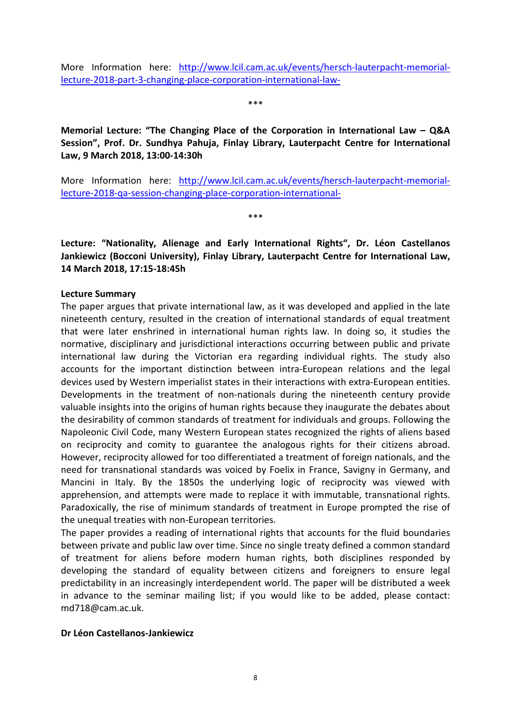More Information here: [http://www.lcil.cam.ac.uk/events/hersch-lauterpacht-memorial](http://www.lcil.cam.ac.uk/events/hersch-lauterpacht-memorial-lecture-2018-part-3-changing-place-corporation-international-law-)[lecture-2018-part-3-changing-place-corporation-international-law-](http://www.lcil.cam.ac.uk/events/hersch-lauterpacht-memorial-lecture-2018-part-3-changing-place-corporation-international-law-)

\*\*\*

<span id="page-10-0"></span>**Memorial Lecture: "The Changing Place of the Corporation in International Law – Q&A Session", Prof. Dr. Sundhya Pahuja, Finlay Library, Lauterpacht Centre for International Law, 9 March 2018, 13:00-14:30h**

More Information here: [http://www.lcil.cam.ac.uk/events/hersch-lauterpacht-memorial](http://www.lcil.cam.ac.uk/events/hersch-lauterpacht-memorial-lecture-2018-qa-session-changing-place-corporation-international-)[lecture-2018-qa-session-changing-place-corporation-international-](http://www.lcil.cam.ac.uk/events/hersch-lauterpacht-memorial-lecture-2018-qa-session-changing-place-corporation-international-)

\*\*\*

<span id="page-10-1"></span>**Lecture: "Nationality, Alienage and Early International Rights", Dr. Léon Castellanos Jankiewicz (Bocconi University), Finlay Library, Lauterpacht Centre for International Law, 14 March 2018, 17:15-18:45h**

#### **Lecture Summary**

The paper argues that private international law, as it was developed and applied in the late nineteenth century, resulted in the creation of international standards of equal treatment that were later enshrined in international human rights law. In doing so, it studies the normative, disciplinary and jurisdictional interactions occurring between public and private international law during the Victorian era regarding individual rights. The study also accounts for the important distinction between intra-European relations and the legal devices used by Western imperialist states in their interactions with extra-European entities. Developments in the treatment of non-nationals during the nineteenth century provide valuable insights into the origins of human rights because they inaugurate the debates about the desirability of common standards of treatment for individuals and groups. Following the Napoleonic Civil Code, many Western European states recognized the rights of aliens based on reciprocity and comity to guarantee the analogous rights for their citizens abroad. However, reciprocity allowed for too differentiated a treatment of foreign nationals, and the need for transnational standards was voiced by Foelix in France, Savigny in Germany, and Mancini in Italy. By the 1850s the underlying logic of reciprocity was viewed with apprehension, and attempts were made to replace it with immutable, transnational rights. Paradoxically, the rise of minimum standards of treatment in Europe prompted the rise of the unequal treaties with non-European territories.

The paper provides a reading of international rights that accounts for the fluid boundaries between private and public law over time. Since no single treaty defined a common standard of treatment for aliens before modern human rights, both disciplines responded by developing the standard of equality between citizens and foreigners to ensure legal predictability in an increasingly interdependent world. The paper will be distributed a week in advance to the seminar mailing list; if you would like to be added, please contact: md718@cam.ac.uk.

#### **Dr Léon Castellanos-Jankiewicz**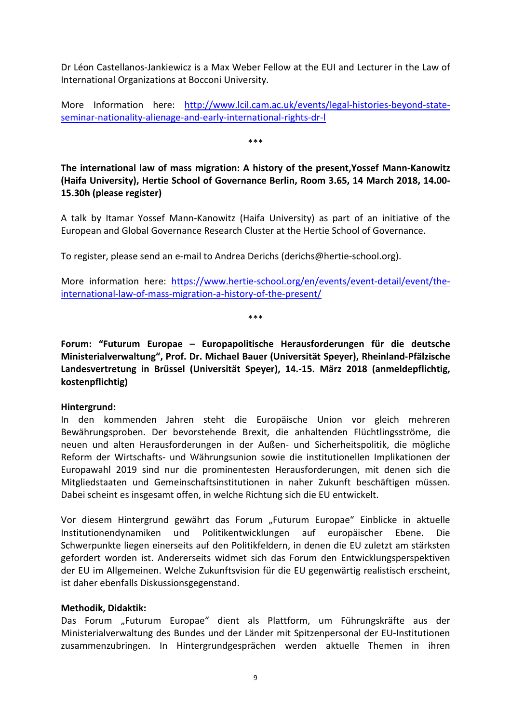Dr Léon Castellanos-Jankiewicz is a Max Weber Fellow at the EUI and Lecturer in the Law of International Organizations at Bocconi University.

More Information here: [http://www.lcil.cam.ac.uk/events/legal-histories-beyond-state](http://www.lcil.cam.ac.uk/events/legal-histories-beyond-state-seminar-nationality-alienage-and-early-international-rights-dr-l)[seminar-nationality-alienage-and-early-international-rights-dr-l](http://www.lcil.cam.ac.uk/events/legal-histories-beyond-state-seminar-nationality-alienage-and-early-international-rights-dr-l)

\*\*\*

<span id="page-11-0"></span>**The international law of mass migration: A history of the present,Yossef Mann-Kanowitz (Haifa University), Hertie School of Governance Berlin, Room 3.65, 14 March 2018, 14.00- 15.30h (please register)**

A talk by Itamar Yossef Mann-Kanowitz (Haifa University) as part of an initiative of the European and Global Governance Research Cluster at the Hertie School of Governance.

To register, please send an e-mail to Andrea Derichs (derichs@hertie-school.org).

More information here: [https://www.hertie-school.org/en/events/event-detail/event/the](https://www.hertie-school.org/en/events/event-detail/event/the-international-law-of-mass-migration-a-history-of-the-present/)[international-law-of-mass-migration-a-history-of-the-present/](https://www.hertie-school.org/en/events/event-detail/event/the-international-law-of-mass-migration-a-history-of-the-present/)

\*\*\*

<span id="page-11-1"></span>**Forum: "Futurum Europae – Europapolitische Herausforderungen für die deutsche Ministerialverwaltung", Prof. Dr. Michael Bauer (Universität Speyer), Rheinland-Pfälzische Landesvertretung in Brüssel (Universität Speyer), 14.-15. März 2018 (anmeldepflichtig, kostenpflichtig)**

#### **Hintergrund:**

In den kommenden Jahren steht die Europäische Union vor gleich mehreren Bewährungsproben. Der bevorstehende Brexit, die anhaltenden Flüchtlingsströme, die neuen und alten Herausforderungen in der Außen- und Sicherheitspolitik, die mögliche Reform der Wirtschafts- und Währungsunion sowie die institutionellen Implikationen der Europawahl 2019 sind nur die prominentesten Herausforderungen, mit denen sich die Mitgliedstaaten und Gemeinschaftsinstitutionen in naher Zukunft beschäftigen müssen. Dabei scheint es insgesamt offen, in welche Richtung sich die EU entwickelt.

Vor diesem Hintergrund gewährt das Forum "Futurum Europae" Einblicke in aktuelle Institutionendynamiken und Politikentwicklungen auf europäischer Ebene. Die Schwerpunkte liegen einerseits auf den Politikfeldern, in denen die EU zuletzt am stärksten gefordert worden ist. Andererseits widmet sich das Forum den Entwicklungsperspektiven der EU im Allgemeinen. Welche Zukunftsvision für die EU gegenwärtig realistisch erscheint, ist daher ebenfalls Diskussionsgegenstand.

#### **Methodik, Didaktik:**

Das Forum "Futurum Europae" dient als Plattform, um Führungskräfte aus der Ministerialverwaltung des Bundes und der Länder mit Spitzenpersonal der EU-Institutionen zusammenzubringen. In Hintergrundgesprächen werden aktuelle Themen in ihren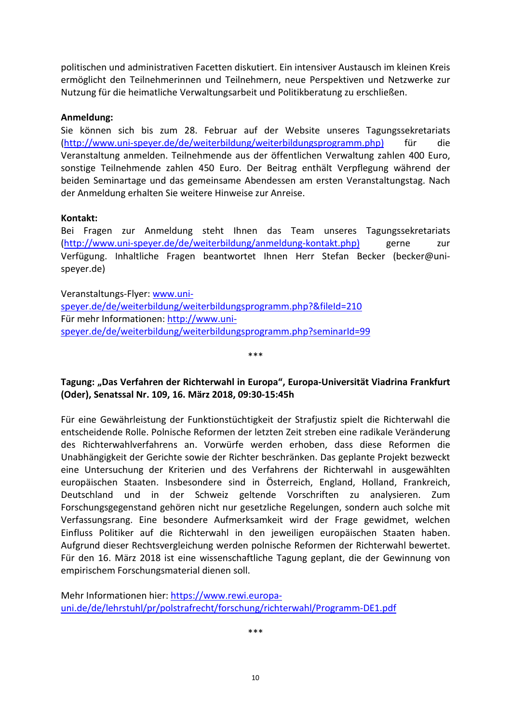politischen und administrativen Facetten diskutiert. Ein intensiver Austausch im kleinen Kreis ermöglicht den Teilnehmerinnen und Teilnehmern, neue Perspektiven und Netzwerke zur Nutzung für die heimatliche Verwaltungsarbeit und Politikberatung zu erschließen.

## **Anmeldung:**

Sie können sich bis zum 28. Februar auf der Website unseres Tagungssekretariats [\(http://www.uni-speyer.de/de/weiterbildung/weiterbildungsprogramm.php\)](http://www.uni-speyer.de/de/weiterbildung/weiterbildungsprogramm.php)) für die Veranstaltung anmelden. Teilnehmende aus der öffentlichen Verwaltung zahlen 400 Euro, sonstige Teilnehmende zahlen 450 Euro. Der Beitrag enthält Verpflegung während der beiden Seminartage und das gemeinsame Abendessen am ersten Veranstaltungstag. Nach der Anmeldung erhalten Sie weitere Hinweise zur Anreise.

## **Kontakt:**

Bei Fragen zur Anmeldung steht Ihnen das Team unseres Tagungssekretariats [\(http://www.uni-speyer.de/de/weiterbildung/anmeldung-kontakt.php\)](http://www.uni-speyer.de/de/weiterbildung/anmeldung-kontakt.php)) gerne zur Verfügung. Inhaltliche Fragen beantwortet Ihnen Herr Stefan Becker (becker@unispeyer.de)

Veranstaltungs-Flyer: [www.uni](http://www.uni-speyer.de/de/weiterbildung/weiterbildungsprogramm.php?&fileId=210)[speyer.de/de/weiterbildung/weiterbildungsprogramm.php?&fileId=210](http://www.uni-speyer.de/de/weiterbildung/weiterbildungsprogramm.php?&fileId=210) Für mehr Informationen: [http://www.uni](http://www.uni-speyer.de/de/weiterbildung/weiterbildungsprogramm.php?seminarId=99)[speyer.de/de/weiterbildung/weiterbildungsprogramm.php?seminarId=99](http://www.uni-speyer.de/de/weiterbildung/weiterbildungsprogramm.php?seminarId=99)

<span id="page-12-0"></span>**Tagung: "Das Verfahren der Richterwahl in Europa", Europa-Universität Viadrina Frankfurt (Oder), Senatssal Nr. 109, 16. März 2018, 09:30-15:45h**

\*\*\*

Für eine Gewährleistung der Funktionstüchtigkeit der Strafjustiz spielt die Richterwahl die entscheidende Rolle. Polnische Reformen der letzten Zeit streben eine radikale Veränderung des Richterwahlverfahrens an. Vorwürfe werden erhoben, dass diese Reformen die Unabhängigkeit der Gerichte sowie der Richter beschränken. Das geplante Projekt bezweckt eine Untersuchung der Kriterien und des Verfahrens der Richterwahl in ausgewählten europäischen Staaten. Insbesondere sind in Österreich, England, Holland, Frankreich, Deutschland und in der Schweiz geltende Vorschriften zu analysieren. Zum Forschungsgegenstand gehören nicht nur gesetzliche Regelungen, sondern auch solche mit Verfassungsrang. Eine besondere Aufmerksamkeit wird der Frage gewidmet, welchen Einfluss Politiker auf die Richterwahl in den jeweiligen europäischen Staaten haben. Aufgrund dieser Rechtsvergleichung werden polnische Reformen der Richterwahl bewertet. Für den 16. März 2018 ist eine wissenschaftliche Tagung geplant, die der Gewinnung von empirischem Forschungsmaterial dienen soll.

Mehr Informationen hier[: https://www.rewi.europa](https://www.rewi.europa-uni.de/de/lehrstuhl/pr/polstrafrecht/forschung/richterwahl/Programm-DE1.pdf)[uni.de/de/lehrstuhl/pr/polstrafrecht/forschung/richterwahl/Programm-DE1.pdf](https://www.rewi.europa-uni.de/de/lehrstuhl/pr/polstrafrecht/forschung/richterwahl/Programm-DE1.pdf)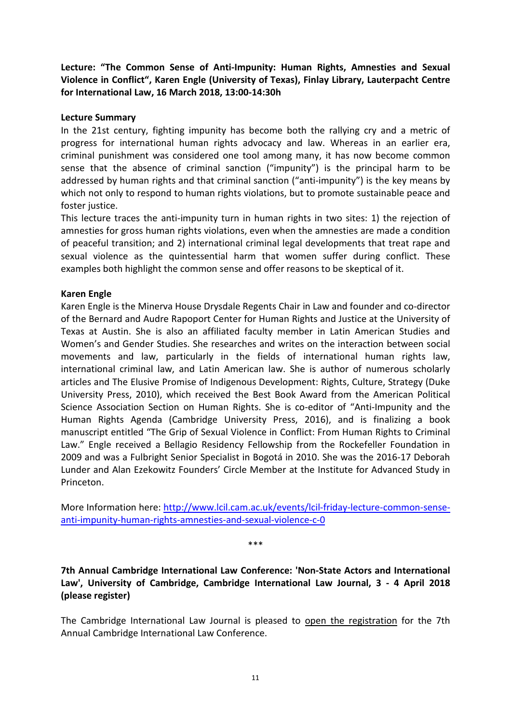<span id="page-13-0"></span>**Lecture: "The Common Sense of Anti-Impunity: Human Rights, Amnesties and Sexual Violence in Conflict", Karen Engle (University of Texas), Finlay Library, Lauterpacht Centre for International Law, 16 March 2018, 13:00-14:30h**

## **Lecture Summary**

In the 21st century, fighting impunity has become both the rallying cry and a metric of progress for international human rights advocacy and law. Whereas in an earlier era, criminal punishment was considered one tool among many, it has now become common sense that the absence of criminal sanction ("impunity") is the principal harm to be addressed by human rights and that criminal sanction ("anti-impunity") is the key means by which not only to respond to human rights violations, but to promote sustainable peace and foster justice.

This lecture traces the anti-impunity turn in human rights in two sites: 1) the rejection of amnesties for gross human rights violations, even when the amnesties are made a condition of peaceful transition; and 2) international criminal legal developments that treat rape and sexual violence as the quintessential harm that women suffer during conflict. These examples both highlight the common sense and offer reasons to be skeptical of it.

## **Karen Engle**

Karen Engle is the Minerva House Drysdale Regents Chair in Law and founder and co-director of the Bernard and Audre Rapoport Center for Human Rights and Justice at the University of Texas at Austin. She is also an affiliated faculty member in Latin American Studies and Women's and Gender Studies. She researches and writes on the interaction between social movements and law, particularly in the fields of international human rights law, international criminal law, and Latin American law. She is author of numerous scholarly articles and The Elusive Promise of Indigenous Development: Rights, Culture, Strategy (Duke University Press, 2010), which received the Best Book Award from the American Political Science Association Section on Human Rights. She is co-editor of "Anti-Impunity and the Human Rights Agenda (Cambridge University Press, 2016), and is finalizing a book manuscript entitled "The Grip of Sexual Violence in Conflict: From Human Rights to Criminal Law." Engle received a Bellagio Residency Fellowship from the Rockefeller Foundation in 2009 and was a Fulbright Senior Specialist in Bogotá in 2010. She was the 2016-17 Deborah Lunder and Alan Ezekowitz Founders' Circle Member at the Institute for Advanced Study in Princeton.

More Information here: [http://www.lcil.cam.ac.uk/events/lcil-friday-lecture-common-sense](http://www.lcil.cam.ac.uk/events/lcil-friday-lecture-common-sense-anti-impunity-human-rights-amnesties-and-sexual-violence-c-0)[anti-impunity-human-rights-amnesties-and-sexual-violence-c-0](http://www.lcil.cam.ac.uk/events/lcil-friday-lecture-common-sense-anti-impunity-human-rights-amnesties-and-sexual-violence-c-0)

\*\*\*

<span id="page-13-1"></span>**7th Annual Cambridge International Law Conference: 'Non-State Actors and International Law', University of Cambridge, Cambridge International Law Journal, 3 - 4 April 2018 (please register)** 

The Cambridge International Law Journal is pleased to open the registration for the 7th Annual Cambridge International Law Conference.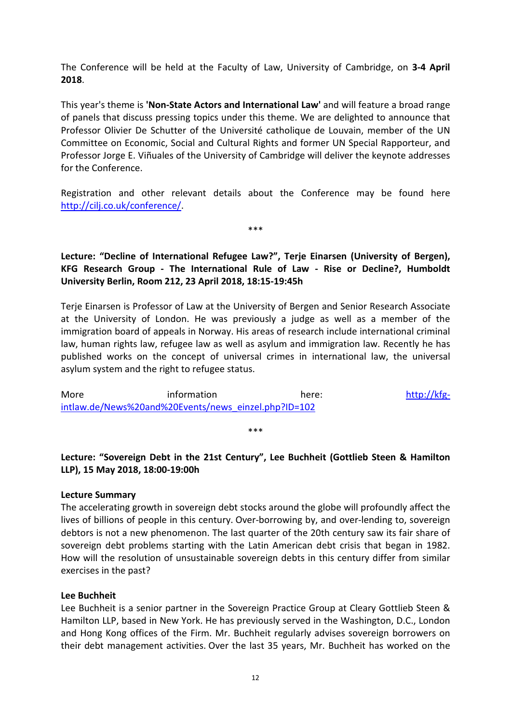The Conference will be held at the Faculty of Law, University of Cambridge, on **3-4 April 2018**.

This year's theme is **'Non-State Actors and International Law'** and will feature a broad range of panels that discuss pressing topics under this theme. We are delighted to announce that Professor Olivier De Schutter of the Université catholique de Louvain, member of the UN Committee on Economic, Social and Cultural Rights and former UN Special Rapporteur, and Professor Jorge E. Viñuales of the University of Cambridge will deliver the keynote addresses for the Conference.

Registration and other relevant details about the Conference may be found here [http://cilj.co.uk/conference/.](http://cilj.co.uk/conference/)

\*\*\*

<span id="page-14-0"></span>**Lecture: "Decline of International Refugee Law?", Terje Einarsen (University of Bergen), KFG Research Group - The International Rule of Law - Rise or Decline?, Humboldt University Berlin, Room 212, 23 April 2018, 18:15-19:45h**

Terje Einarsen is Professor of Law at the University of Bergen and Senior Research Associate at the University of London. He was previously a judge as well as a member of the immigration board of appeals in Norway. His areas of research include international criminal law, human rights law, refugee law as well as asylum and immigration law. Recently he has published works on the concept of universal crimes in international law, the universal asylum system and the right to refugee status.

More information here: [http://kfg](http://kfg-intlaw.de/News%20and%20Events/news_einzel.php?ID=102)[intlaw.de/News%20and%20Events/news\\_einzel.php?ID=102](http://kfg-intlaw.de/News%20and%20Events/news_einzel.php?ID=102)

## \*\*\*

## <span id="page-14-1"></span>**Lecture: "Sovereign Debt in the 21st Century", Lee Buchheit (Gottlieb Steen & Hamilton LLP), 15 May 2018, 18:00-19:00h**

#### **Lecture Summary**

The accelerating growth in sovereign debt stocks around the globe will profoundly affect the lives of billions of people in this century. Over-borrowing by, and over-lending to, sovereign debtors is not a new phenomenon. The last quarter of the 20th century saw its fair share of sovereign debt problems starting with the Latin American debt crisis that began in 1982. How will the resolution of unsustainable sovereign debts in this century differ from similar exercises in the past?

#### **Lee Buchheit**

Lee Buchheit is a senior partner in the Sovereign Practice Group at Cleary Gottlieb Steen & Hamilton LLP, based in New York. He has previously served in the Washington, D.C., London and Hong Kong offices of the Firm. Mr. Buchheit regularly advises sovereign borrowers on their debt management activities. Over the last 35 years, Mr. Buchheit has worked on the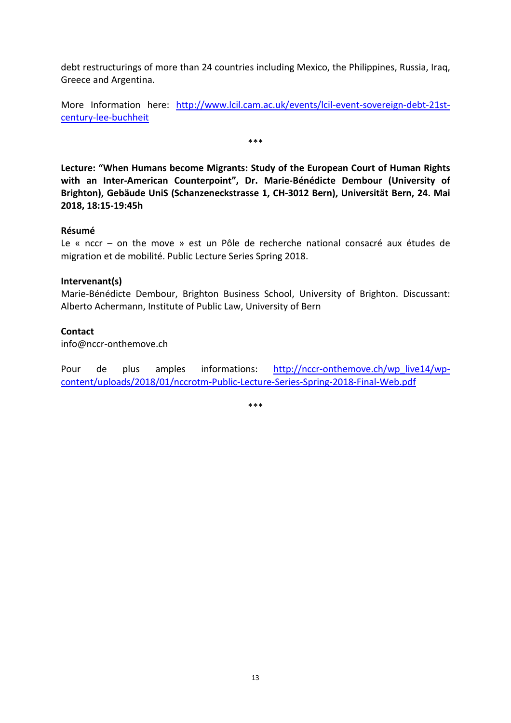debt restructurings of more than 24 countries including Mexico, the Philippines, Russia, Iraq, Greece and Argentina.

More Information here: [http://www.lcil.cam.ac.uk/events/lcil-event-sovereign-debt-21st](http://www.lcil.cam.ac.uk/events/lcil-event-sovereign-debt-21st-century-lee-buchheit)[century-lee-buchheit](http://www.lcil.cam.ac.uk/events/lcil-event-sovereign-debt-21st-century-lee-buchheit)

\*\*\*

<span id="page-15-0"></span>**Lecture: "When Humans become Migrants: Study of the European Court of Human Rights with an Inter-American Counterpoint", Dr. Marie-Bénédicte Dembour (University of Brighton), Gebäude UniS (Schanzeneckstrasse 1, CH-3012 Bern), Universität Bern, 24. Mai 2018, 18:15-19:45h**

#### **Résumé**

Le « nccr – on the move » est un Pôle de recherche national consacré aux études de migration et de mobilité. Public Lecture Series Spring 2018.

#### **Intervenant(s)**

Marie-Bénédicte Dembour, Brighton Business School, University of Brighton. Discussant: Alberto Achermann, Institute of Public Law, University of Bern

#### **Contact**

info@nccr-onthemove.ch

Pour de plus amples informations: [http://nccr-onthemove.ch/wp\\_live14/wp](http://nccr-onthemove.ch/wp_live14/wp-content/uploads/2018/01/nccrotm-Public-Lecture-Series-Spring-2018-Final-Web.pdf)[content/uploads/2018/01/nccrotm-Public-Lecture-Series-Spring-2018-Final-Web.pdf](http://nccr-onthemove.ch/wp_live14/wp-content/uploads/2018/01/nccrotm-Public-Lecture-Series-Spring-2018-Final-Web.pdf)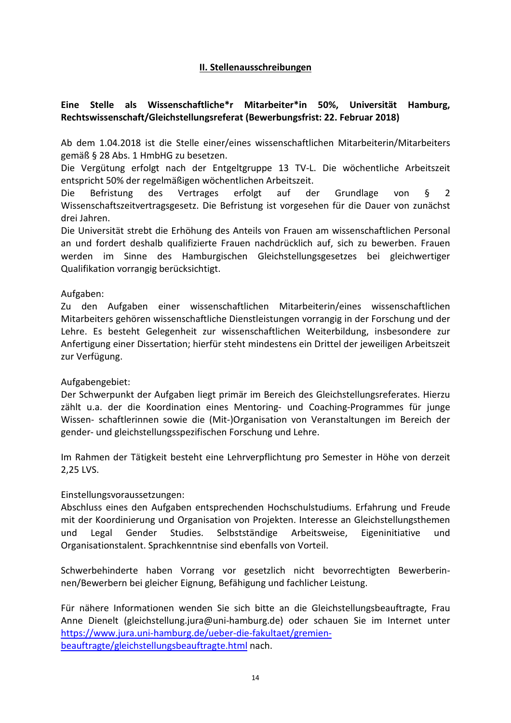## **II. Stellenausschreibungen**

## <span id="page-16-1"></span><span id="page-16-0"></span>**Eine Stelle als Wissenschaftliche\*r Mitarbeiter\*in 50%, Universität Hamburg, Rechtswissenschaft/Gleichstellungsreferat (Bewerbungsfrist: 22. Februar 2018)**

Ab dem 1.04.2018 ist die Stelle einer/eines wissenschaftlichen Mitarbeiterin/Mitarbeiters gemäß § 28 Abs. 1 HmbHG zu besetzen.

Die Vergütung erfolgt nach der Entgeltgruppe 13 TV-L. Die wöchentliche Arbeitszeit entspricht 50% der regelmäßigen wöchentlichen Arbeitszeit.

Die Befristung des Vertrages erfolgt auf der Grundlage von § 2 Wissenschaftszeitvertragsgesetz. Die Befristung ist vorgesehen für die Dauer von zunächst drei Jahren.

Die Universität strebt die Erhöhung des Anteils von Frauen am wissenschaftlichen Personal an und fordert deshalb qualifizierte Frauen nachdrücklich auf, sich zu bewerben. Frauen werden im Sinne des Hamburgischen Gleichstellungsgesetzes bei gleichwertiger Qualifikation vorrangig berücksichtigt.

## Aufgaben:

Zu den Aufgaben einer wissenschaftlichen Mitarbeiterin/eines wissenschaftlichen Mitarbeiters gehören wissenschaftliche Dienstleistungen vorrangig in der Forschung und der Lehre. Es besteht Gelegenheit zur wissenschaftlichen Weiterbildung, insbesondere zur Anfertigung einer Dissertation; hierfür steht mindestens ein Drittel der jeweiligen Arbeitszeit zur Verfügung.

## Aufgabengebiet:

Der Schwerpunkt der Aufgaben liegt primär im Bereich des Gleichstellungsreferates. Hierzu zählt u.a. der die Koordination eines Mentoring- und Coaching-Programmes für junge Wissen- schaftlerinnen sowie die (Mit-)Organisation von Veranstaltungen im Bereich der gender- und gleichstellungsspezifischen Forschung und Lehre.

Im Rahmen der Tätigkeit besteht eine Lehrverpflichtung pro Semester in Höhe von derzeit 2,25 LVS.

## Einstellungsvoraussetzungen:

Abschluss eines den Aufgaben entsprechenden Hochschulstudiums. Erfahrung und Freude mit der Koordinierung und Organisation von Projekten. Interesse an Gleichstellungsthemen und Legal Gender Studies. Selbstständige Arbeitsweise, Eigeninitiative und Organisationstalent. Sprachkenntnise sind ebenfalls von Vorteil.

Schwerbehinderte haben Vorrang vor gesetzlich nicht bevorrechtigten Bewerberinnen/Bewerbern bei gleicher Eignung, Befähigung und fachlicher Leistung.

Für nähere Informationen wenden Sie sich bitte an die Gleichstellungsbeauftragte, Frau Anne Dienelt (gleichstellung.jura@uni-hamburg.de) oder schauen Sie im Internet unter [https://www.jura.uni-hamburg.de/ueber-die-fakultaet/gremien](https://www.jura.uni-hamburg.de/ueber-die-fakultaet/gremien-beauftragte/gleichstellungsbeauftragte.html)[beauftragte/gleichstellungsbeauftragte.html](https://www.jura.uni-hamburg.de/ueber-die-fakultaet/gremien-beauftragte/gleichstellungsbeauftragte.html) nach.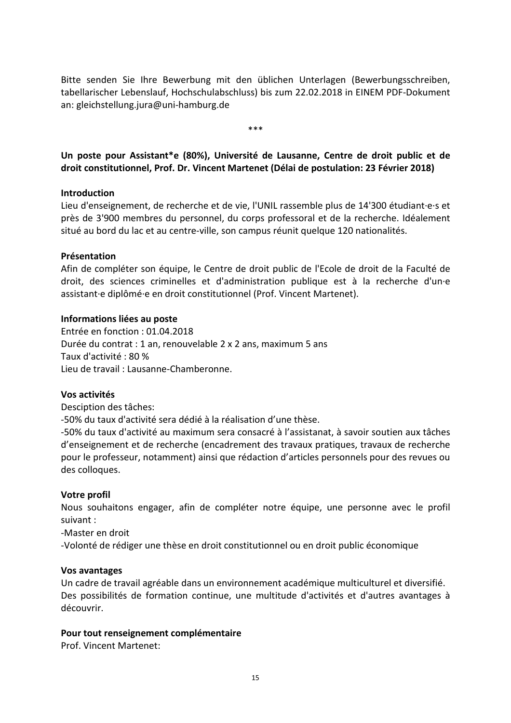Bitte senden Sie Ihre Bewerbung mit den üblichen Unterlagen (Bewerbungsschreiben, tabellarischer Lebenslauf, Hochschulabschluss) bis zum 22.02.2018 in EINEM PDF-Dokument an: gleichstellung.jura@uni-hamburg.de

\*\*\*

<span id="page-17-0"></span>**Un poste pour Assistant\*e (80%), Université de Lausanne, Centre de droit public et de droit constitutionnel, Prof. Dr. Vincent Martenet (Délai de postulation: 23 Février 2018)**

#### **Introduction**

Lieu d'enseignement, de recherche et de vie, l'UNIL rassemble plus de 14'300 étudiant·e·s et près de 3'900 membres du personnel, du corps professoral et de la recherche. Idéalement situé au bord du lac et au centre-ville, son campus réunit quelque 120 nationalités.

#### **Présentation**

Afin de compléter son équipe, le Centre de droit public de l'Ecole de droit de la Faculté de droit, des sciences criminelles et d'administration publique est à la recherche d'un·e assistant·e diplômé·e en droit constitutionnel (Prof. Vincent Martenet).

#### **Informations liées au poste**

Entrée en fonction : 01.04.2018 Durée du contrat : 1 an, renouvelable 2 x 2 ans, maximum 5 ans Taux d'activité : 80 % Lieu de travail : Lausanne-Chamberonne.

#### **Vos activités**

Desciption des tâches:

-50% du taux d'activité sera dédié à la réalisation d'une thèse.

-50% du taux d'activité au maximum sera consacré à l'assistanat, à savoir soutien aux tâches d'enseignement et de recherche (encadrement des travaux pratiques, travaux de recherche pour le professeur, notamment) ainsi que rédaction d'articles personnels pour des revues ou des colloques.

#### **Votre profil**

Nous souhaitons engager, afin de compléter notre équipe, une personne avec le profil suivant :

-Master en droit

-Volonté de rédiger une thèse en droit constitutionnel ou en droit public économique

#### **Vos avantages**

Un cadre de travail agréable dans un environnement académique multiculturel et diversifié. Des possibilités de formation continue, une multitude d'activités et d'autres avantages à découvrir.

#### **Pour tout renseignement complémentaire**

Prof. Vincent Martenet: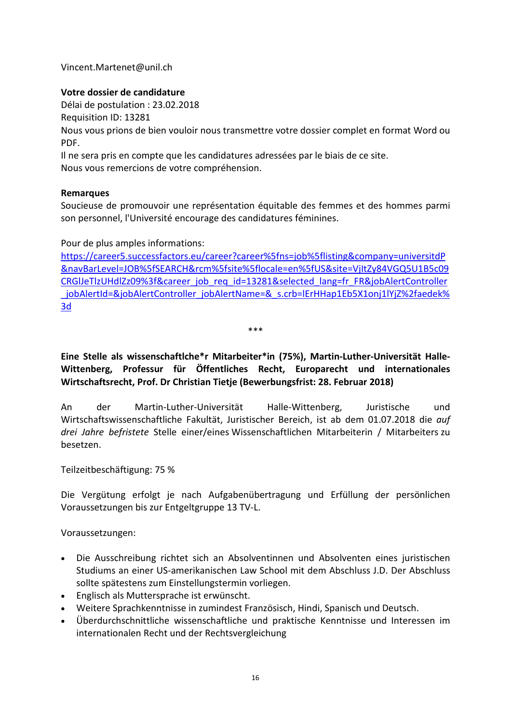Vincent.Martenet@unil.ch

## **Votre dossier de candidature**

Délai de postulation : 23.02.2018

Requisition ID: 13281

Nous vous prions de bien vouloir nous transmettre votre dossier complet en format Word ou PDF.

Il ne sera pris en compte que les candidatures adressées par le biais de ce site.

Nous vous remercions de votre compréhension.

## **Remarques**

Soucieuse de promouvoir une représentation équitable des femmes et des hommes parmi son personnel, l'Université encourage des candidatures féminines.

Pour de plus amples informations:

[https://career5.successfactors.eu/career?career%5fns=job%5flisting&company=universitdP](https://career5.successfactors.eu/career?career%5fns=job%5flisting&company=universitdP&navBarLevel=JOB%5fSEARCH&rcm%5fsite%5flocale=en%5fUS&site=VjItZy84VGQ5U1B5c09CRGlJeTlzUHdlZz09%3f&career_job_req_id=13281&selected_lang=fr_FR&jobAlertController_jobAlertId=&jobAlertController_jobAlertName=&_s.crb=lErHHap1Eb5X1onj1lYjZ%2faedek%3d) [&navBarLevel=JOB%5fSEARCH&rcm%5fsite%5flocale=en%5fUS&site=VjItZy84VGQ5U1B5c09](https://career5.successfactors.eu/career?career%5fns=job%5flisting&company=universitdP&navBarLevel=JOB%5fSEARCH&rcm%5fsite%5flocale=en%5fUS&site=VjItZy84VGQ5U1B5c09CRGlJeTlzUHdlZz09%3f&career_job_req_id=13281&selected_lang=fr_FR&jobAlertController_jobAlertId=&jobAlertController_jobAlertName=&_s.crb=lErHHap1Eb5X1onj1lYjZ%2faedek%3d) [CRGlJeTlzUHdlZz09%3f&career\\_job\\_req\\_id=13281&selected\\_lang=fr\\_FR&jobAlertController](https://career5.successfactors.eu/career?career%5fns=job%5flisting&company=universitdP&navBarLevel=JOB%5fSEARCH&rcm%5fsite%5flocale=en%5fUS&site=VjItZy84VGQ5U1B5c09CRGlJeTlzUHdlZz09%3f&career_job_req_id=13281&selected_lang=fr_FR&jobAlertController_jobAlertId=&jobAlertController_jobAlertName=&_s.crb=lErHHap1Eb5X1onj1lYjZ%2faedek%3d) [\\_jobAlertId=&jobAlertController\\_jobAlertName=&\\_s.crb=lErHHap1Eb5X1onj1lYjZ%2faedek%](https://career5.successfactors.eu/career?career%5fns=job%5flisting&company=universitdP&navBarLevel=JOB%5fSEARCH&rcm%5fsite%5flocale=en%5fUS&site=VjItZy84VGQ5U1B5c09CRGlJeTlzUHdlZz09%3f&career_job_req_id=13281&selected_lang=fr_FR&jobAlertController_jobAlertId=&jobAlertController_jobAlertName=&_s.crb=lErHHap1Eb5X1onj1lYjZ%2faedek%3d) [3d](https://career5.successfactors.eu/career?career%5fns=job%5flisting&company=universitdP&navBarLevel=JOB%5fSEARCH&rcm%5fsite%5flocale=en%5fUS&site=VjItZy84VGQ5U1B5c09CRGlJeTlzUHdlZz09%3f&career_job_req_id=13281&selected_lang=fr_FR&jobAlertController_jobAlertId=&jobAlertController_jobAlertName=&_s.crb=lErHHap1Eb5X1onj1lYjZ%2faedek%3d)

\*\*\*

<span id="page-18-0"></span>**Eine Stelle als wissenschaftlche\*r Mitarbeiter\*in (75%), Martin-Luther-Universität Halle-Wittenberg, Professur für Öffentliches Recht, Europarecht und internationales Wirtschaftsrecht, Prof. Dr Christian Tietje (Bewerbungsfrist: 28. Februar 2018)**

An der Martin-Luther-Universität Halle-Wittenberg, Juristische und Wirtschaftswissenschaftliche Fakultät, Juristischer Bereich, ist ab dem 01.07.2018 die *auf drei Jahre befristete* Stelle einer/eines Wissenschaftlichen Mitarbeiterin / Mitarbeiters zu besetzen.

Teilzeitbeschäftigung: 75 %

Die Vergütung erfolgt je nach Aufgabenübertragung und Erfüllung der persönlichen Voraussetzungen bis zur Entgeltgruppe 13 TV-L.

Voraussetzungen:

- Die Ausschreibung richtet sich an Absolventinnen und Absolventen eines juristischen Studiums an einer US-amerikanischen Law School mit dem Abschluss J.D. Der Abschluss sollte spätestens zum Einstellungstermin vorliegen.
- Englisch als Muttersprache ist erwünscht.
- Weitere Sprachkenntnisse in zumindest Französisch, Hindi, Spanisch und Deutsch.
- Überdurchschnittliche wissenschaftliche und praktische Kenntnisse und Interessen im internationalen Recht und der Rechtsvergleichung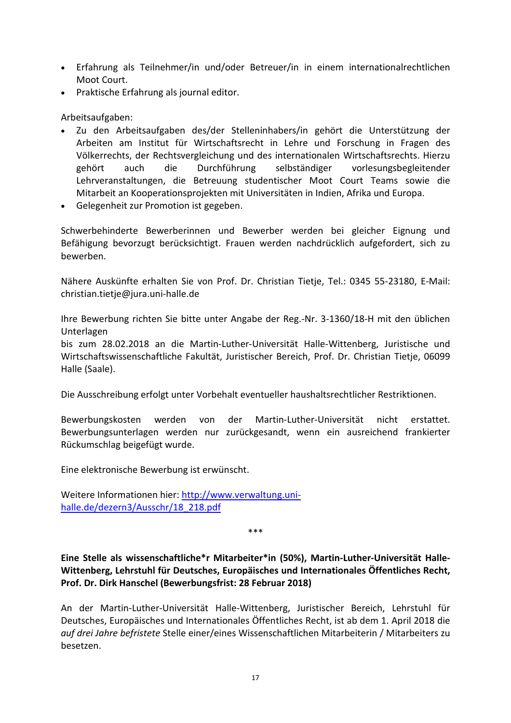- Erfahrung als Teilnehmer/in und/oder Betreuer/in in einem internationalrechtlichen Moot Court.
- Praktische Erfahrung als journal editor.

## Arbeitsaufgaben:

- Zu den Arbeitsaufgaben des/der Stelleninhabers/in gehört die Unterstützung der Arbeiten am Institut für Wirtschaftsrecht in Lehre und Forschung in Fragen des Völkerrechts, der Rechtsvergleichung und des internationalen Wirtschaftsrechts. Hierzu gehört auch die Durchführung selbständiger vorlesungsbegleitender Lehrveranstaltungen, die Betreuung studentischer Moot Court Teams sowie die Mitarbeit an Kooperationsprojekten mit Universitäten in Indien, Afrika und Europa.
- Gelegenheit zur Promotion ist gegeben.

Schwerbehinderte Bewerberinnen und Bewerber werden bei gleicher Eignung und Befähigung bevorzugt berücksichtigt. Frauen werden nachdrücklich aufgefordert, sich zu bewerben.

Nähere Auskünfte erhalten Sie von Prof. Dr. Christian Tietje, Tel.: 0345 55-23180, E-Mail: christian.tietje@jura.uni-halle.de

Ihre Bewerbung richten Sie bitte unter Angabe der Reg.-Nr. 3-1360/18-H mit den üblichen Unterlagen

bis zum 28.02.2018 an die Martin-Luther-Universität Halle-Wittenberg, Juristische und Wirtschaftswissenschaftliche Fakultät, Juristischer Bereich, Prof. Dr. Christian Tietje, 06099 Halle (Saale).

Die Ausschreibung erfolgt unter Vorbehalt eventueller haushaltsrechtlicher Restriktionen.

Bewerbungskosten werden von der Martin-Luther-Universität nicht erstattet. Bewerbungsunterlagen werden nur zurückgesandt, wenn ein ausreichend frankierter Rückumschlag beigefügt wurde.

Eine elektronische Bewerbung ist erwünscht.

Weitere Informationen hier: [http://www.verwaltung.uni](http://www.verwaltung.uni-halle.de/dezern3/Ausschr/18_218.pdf)[halle.de/dezern3/Ausschr/18\\_218.pdf](http://www.verwaltung.uni-halle.de/dezern3/Ausschr/18_218.pdf)

\*\*\*

<span id="page-19-0"></span>**Eine Stelle als wissenschaftliche\*r Mitarbeiter\*in (50%), Martin-Luther-Universität Halle-Wittenberg, Lehrstuhl für Deutsches, Europäisches und Internationales Öffentliches Recht, Prof. Dr. Dirk Hanschel (Bewerbungsfrist: 28 Februar 2018)**

An der Martin-Luther-Universität Halle-Wittenberg, Juristischer Bereich, Lehrstuhl für Deutsches, Europäisches und Internationales Öffentliches Recht, ist ab dem 1. April 2018 die *auf drei Jahre befristete* Stelle einer/eines Wissenschaftlichen Mitarbeiterin / Mitarbeiters zu besetzen.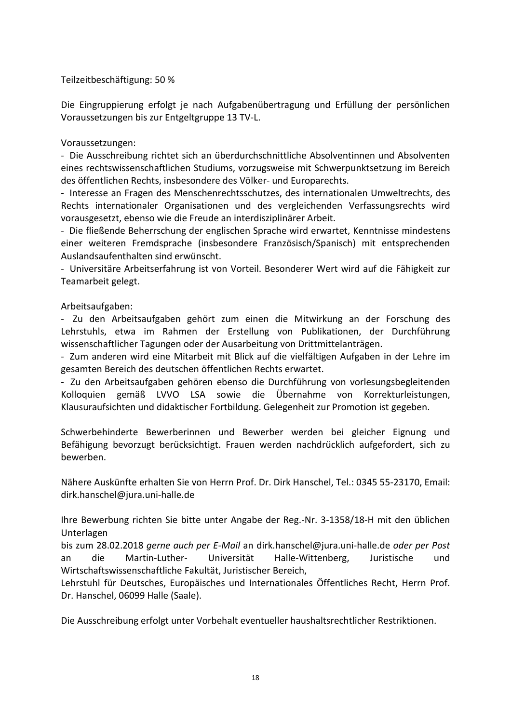Teilzeitbeschäftigung: 50 %

Die Eingruppierung erfolgt je nach Aufgabenübertragung und Erfüllung der persönlichen Voraussetzungen bis zur Entgeltgruppe 13 TV-L.

## Voraussetzungen:

- Die Ausschreibung richtet sich an überdurchschnittliche Absolventinnen und Absolventen eines rechtswissenschaftlichen Studiums, vorzugsweise mit Schwerpunktsetzung im Bereich des öffentlichen Rechts, insbesondere des Völker- und Europarechts.

- Interesse an Fragen des Menschenrechtsschutzes, des internationalen Umweltrechts, des Rechts internationaler Organisationen und des vergleichenden Verfassungsrechts wird vorausgesetzt, ebenso wie die Freude an interdisziplinärer Arbeit.

- Die fließende Beherrschung der englischen Sprache wird erwartet, Kenntnisse mindestens einer weiteren Fremdsprache (insbesondere Französisch/Spanisch) mit entsprechenden Auslandsaufenthalten sind erwünscht.

- Universitäre Arbeitserfahrung ist von Vorteil. Besonderer Wert wird auf die Fähigkeit zur Teamarbeit gelegt.

Arbeitsaufgaben:

- Zu den Arbeitsaufgaben gehört zum einen die Mitwirkung an der Forschung des Lehrstuhls, etwa im Rahmen der Erstellung von Publikationen, der Durchführung wissenschaftlicher Tagungen oder der Ausarbeitung von Drittmittelanträgen.

- Zum anderen wird eine Mitarbeit mit Blick auf die vielfältigen Aufgaben in der Lehre im gesamten Bereich des deutschen öffentlichen Rechts erwartet.

- Zu den Arbeitsaufgaben gehören ebenso die Durchführung von vorlesungsbegleitenden Kolloquien gemäß LVVO LSA sowie die Übernahme von Korrekturleistungen, Klausuraufsichten und didaktischer Fortbildung. Gelegenheit zur Promotion ist gegeben.

Schwerbehinderte Bewerberinnen und Bewerber werden bei gleicher Eignung und Befähigung bevorzugt berücksichtigt. Frauen werden nachdrücklich aufgefordert, sich zu bewerben.

Nähere Auskünfte erhalten Sie von Herrn Prof. Dr. Dirk Hanschel, Tel.: 0345 55-23170, Email: dirk.hanschel@jura.uni-halle.de

Ihre Bewerbung richten Sie bitte unter Angabe der Reg.-Nr. 3-1358/18-H mit den üblichen Unterlagen

bis zum 28.02.2018 *gerne auch per E-Mail* an dirk.hanschel@jura.uni-halle.de *oder per Post*  an die Martin-Luther- Universität Halle-Wittenberg, Juristische und Wirtschaftswissenschaftliche Fakultät, Juristischer Bereich,

Lehrstuhl für Deutsches, Europäisches und Internationales Öffentliches Recht, Herrn Prof. Dr. Hanschel, 06099 Halle (Saale).

Die Ausschreibung erfolgt unter Vorbehalt eventueller haushaltsrechtlicher Restriktionen.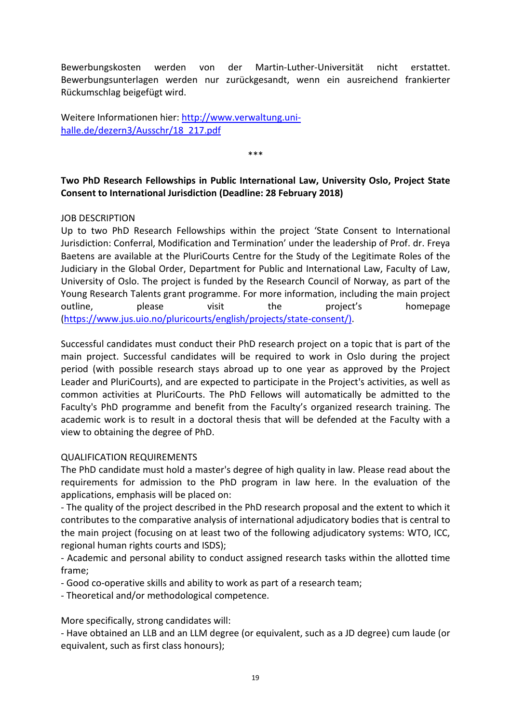Bewerbungskosten werden von der Martin-Luther-Universität nicht erstattet. Bewerbungsunterlagen werden nur zurückgesandt, wenn ein ausreichend frankierter Rückumschlag beigefügt wird.

Weitere Informationen hier: [http://www.verwaltung.uni](http://www.verwaltung.uni-halle.de/dezern3/Ausschr/18_217.pdf)[halle.de/dezern3/Ausschr/18\\_217.pdf](http://www.verwaltung.uni-halle.de/dezern3/Ausschr/18_217.pdf)

<span id="page-21-0"></span>**Two PhD Research Fellowships in Public International Law, University Oslo, Project State Consent to International Jurisdiction (Deadline: 28 February 2018)**

\*\*\*

## JOB DESCRIPTION

Up to two PhD Research Fellowships within the project 'State Consent to International Jurisdiction: Conferral, Modification and Termination' under the leadership of Prof. dr. Freya Baetens are available at the PluriCourts Centre for the Study of the Legitimate Roles of the Judiciary in the Global Order, Department for Public and International Law, Faculty of Law, University of Oslo. The project is funded by the Research Council of Norway, as part of the Young Research Talents grant programme. For more information, including the main project outline, and please visit the project's homepage [\(https://www.jus.uio.no/pluricourts/english/projects/state-consent/\).](https://www.jus.uio.no/pluricourts/english/projects/state-consent/))

Successful candidates must conduct their PhD research project on a topic that is part of the main project. Successful candidates will be required to work in Oslo during the project period (with possible research stays abroad up to one year as approved by the Project Leader and PluriCourts), and are expected to participate in the Project's activities, as well as common activities at PluriCourts. The PhD Fellows will automatically be admitted to the Faculty's PhD programme and benefit from the Faculty's organized research training. The academic work is to result in a doctoral thesis that will be defended at the Faculty with a view to obtaining the degree of PhD.

#### QUALIFICATION REQUIREMENTS

The PhD candidate must hold a master's degree of high quality in law. Please read about the requirements for admission to the PhD program in law here. In the evaluation of the applications, emphasis will be placed on:

- The quality of the project described in the PhD research proposal and the extent to which it contributes to the comparative analysis of international adjudicatory bodies that is central to the main project (focusing on at least two of the following adjudicatory systems: WTO, ICC, regional human rights courts and ISDS);

- Academic and personal ability to conduct assigned research tasks within the allotted time frame;

- Good co-operative skills and ability to work as part of a research team;

- Theoretical and/or methodological competence.

More specifically, strong candidates will:

- Have obtained an LLB and an LLM degree (or equivalent, such as a JD degree) cum laude (or equivalent, such as first class honours);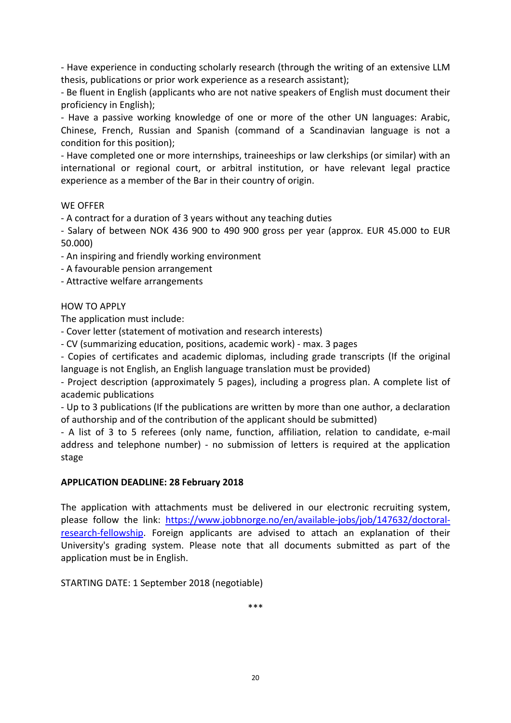- Have experience in conducting scholarly research (through the writing of an extensive LLM thesis, publications or prior work experience as a research assistant);

- Be fluent in English (applicants who are not native speakers of English must document their proficiency in English);

- Have a passive working knowledge of one or more of the other UN languages: Arabic, Chinese, French, Russian and Spanish (command of a Scandinavian language is not a condition for this position);

- Have completed one or more internships, traineeships or law clerkships (or similar) with an international or regional court, or arbitral institution, or have relevant legal practice experience as a member of the Bar in their country of origin.

## WE OFFER

- A contract for a duration of 3 years without any teaching duties

- Salary of between NOK 436 900 to 490 900 gross per year (approx. EUR 45.000 to EUR 50.000)

- An inspiring and friendly working environment

- A favourable pension arrangement
- Attractive welfare arrangements

## HOW TO APPLY

The application must include:

- Cover letter (statement of motivation and research interests)
- CV (summarizing education, positions, academic work) max. 3 pages

- Copies of certificates and academic diplomas, including grade transcripts (If the original language is not English, an English language translation must be provided)

- Project description (approximately 5 pages), including a progress plan. A complete list of academic publications

- Up to 3 publications (If the publications are written by more than one author, a declaration of authorship and of the contribution of the applicant should be submitted)

- A list of 3 to 5 referees (only name, function, affiliation, relation to candidate, e-mail address and telephone number) - no submission of letters is required at the application stage

#### **APPLICATION DEADLINE: 28 February 2018**

The application with attachments must be delivered in our electronic recruiting system, please follow the link: [https://www.jobbnorge.no/en/available-jobs/job/147632/doctoral](https://www.jobbnorge.no/en/available-jobs/job/147632/doctoral-research-fellowship)[research-fellowship.](https://www.jobbnorge.no/en/available-jobs/job/147632/doctoral-research-fellowship) Foreign applicants are advised to attach an explanation of their University's grading system. Please note that all documents submitted as part of the application must be in English.

STARTING DATE: 1 September 2018 (negotiable)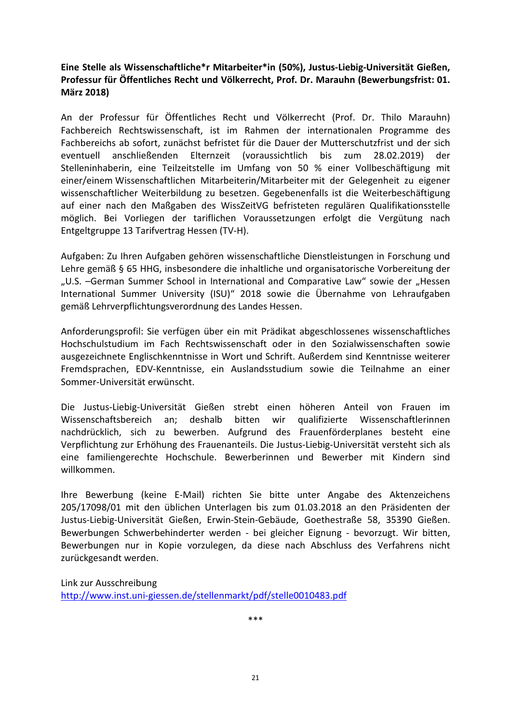## <span id="page-23-0"></span>**Eine Stelle als Wissenschaftliche\*r Mitarbeiter\*in (50%), Justus-Liebig-Universität Gießen, Professur für Öffentliches Recht und Völkerrecht, Prof. Dr. Marauhn (Bewerbungsfrist: 01. März 2018)**

An der Professur für Öffentliches Recht und Völkerrecht (Prof. Dr. Thilo Marauhn) Fachbereich Rechtswissenschaft, ist im Rahmen der internationalen Programme des Fachbereichs ab sofort, zunächst befristet für die Dauer der Mutterschutzfrist und der sich eventuell anschließenden Elternzeit (voraussichtlich bis zum 28.02.2019) der Stelleninhaberin, eine Teilzeitstelle im Umfang von 50 % einer Vollbeschäftigung mit einer/einem Wissenschaftlichen Mitarbeiterin/Mitarbeiter mit der Gelegenheit zu eigener wissenschaftlicher Weiterbildung zu besetzen. Gegebenenfalls ist die Weiterbeschäftigung auf einer nach den Maßgaben des WissZeitVG befristeten regulären Qualifikationsstelle möglich. Bei Vorliegen der tariflichen Voraussetzungen erfolgt die Vergütung nach Entgeltgruppe 13 Tarifvertrag Hessen (TV-H).

Aufgaben: Zu Ihren Aufgaben gehören wissenschaftliche Dienstleistungen in Forschung und Lehre gemäß § 65 HHG, insbesondere die inhaltliche und organisatorische Vorbereitung der "U.S. -German Summer School in International and Comparative Law" sowie der "Hessen International Summer University (ISU)" 2018 sowie die Übernahme von Lehraufgaben gemäß Lehrverpflichtungsverordnung des Landes Hessen.

Anforderungsprofil: Sie verfügen über ein mit Prädikat abgeschlossenes wissenschaftliches Hochschulstudium im Fach Rechtswissenschaft oder in den Sozialwissenschaften sowie ausgezeichnete Englischkenntnisse in Wort und Schrift. Außerdem sind Kenntnisse weiterer Fremdsprachen, EDV-Kenntnisse, ein Auslandsstudium sowie die Teilnahme an einer Sommer-Universität erwünscht.

Die Justus-Liebig-Universität Gießen strebt einen höheren Anteil von Frauen im Wissenschaftsbereich an; deshalb bitten wir qualifizierte Wissenschaftlerinnen nachdrücklich, sich zu bewerben. Aufgrund des Frauenförderplanes besteht eine Verpflichtung zur Erhöhung des Frauenanteils. Die Justus-Liebig-Universität versteht sich als eine familiengerechte Hochschule. Bewerberinnen und Bewerber mit Kindern sind willkommen.

Ihre Bewerbung (keine E-Mail) richten Sie bitte unter Angabe des Aktenzeichens 205/17098/01 mit den üblichen Unterlagen bis zum 01.03.2018 an den Präsidenten der Justus-Liebig-Universität Gießen, Erwin-Stein-Gebäude, Goethestraße 58, 35390 Gießen. Bewerbungen Schwerbehinderter werden - bei gleicher Eignung - bevorzugt. Wir bitten, Bewerbungen nur in Kopie vorzulegen, da diese nach Abschluss des Verfahrens nicht zurückgesandt werden.

Link zur Ausschreibung <http://www.inst.uni-giessen.de/stellenmarkt/pdf/stelle0010483.pdf>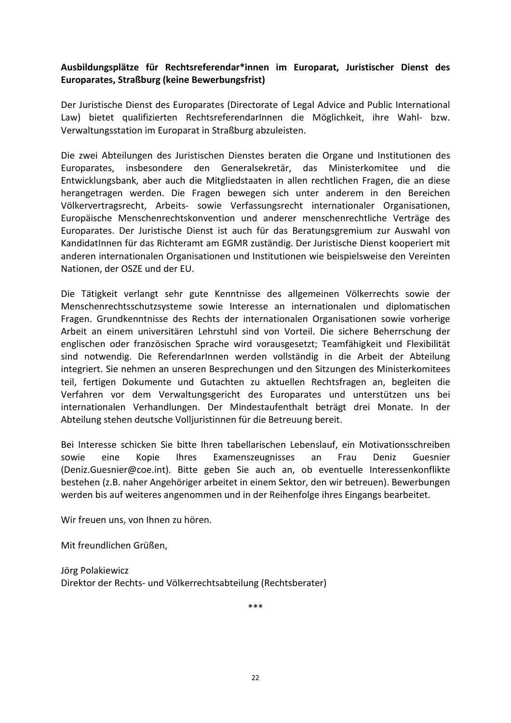## <span id="page-24-0"></span>**Ausbildungsplätze für Rechtsreferendar\*innen im Europarat, Juristischer Dienst des Europarates, Straßburg (keine Bewerbungsfrist)**

Der Juristische Dienst des Europarates (Directorate of Legal Advice and Public International Law) bietet qualifizierten RechtsreferendarInnen die Möglichkeit, ihre Wahl- bzw. Verwaltungsstation im Europarat in Straßburg abzuleisten.

Die zwei Abteilungen des Juristischen Dienstes beraten die Organe und Institutionen des Europarates, insbesondere den Generalsekretär, das Ministerkomitee und die Entwicklungsbank, aber auch die Mitgliedstaaten in allen rechtlichen Fragen, die an diese herangetragen werden. Die Fragen bewegen sich unter anderem in den Bereichen Völkervertragsrecht, Arbeits- sowie Verfassungsrecht internationaler Organisationen, Europäische Menschenrechtskonvention und anderer menschenrechtliche Verträge des Europarates. Der Juristische Dienst ist auch für das Beratungsgremium zur Auswahl von KandidatInnen für das Richteramt am EGMR zuständig. Der Juristische Dienst kooperiert mit anderen internationalen Organisationen und Institutionen wie beispielsweise den Vereinten Nationen, der OSZE und der EU.

Die Tätigkeit verlangt sehr gute Kenntnisse des allgemeinen Völkerrechts sowie der Menschenrechtsschutzsysteme sowie Interesse an internationalen und diplomatischen Fragen. Grundkenntnisse des Rechts der internationalen Organisationen sowie vorherige Arbeit an einem universitären Lehrstuhl sind von Vorteil. Die sichere Beherrschung der englischen oder französischen Sprache wird vorausgesetzt; Teamfähigkeit und Flexibilität sind notwendig. Die ReferendarInnen werden vollständig in die Arbeit der Abteilung integriert. Sie nehmen an unseren Besprechungen und den Sitzungen des Ministerkomitees teil, fertigen Dokumente und Gutachten zu aktuellen Rechtsfragen an, begleiten die Verfahren vor dem Verwaltungsgericht des Europarates und unterstützen uns bei internationalen Verhandlungen. Der Mindestaufenthalt beträgt drei Monate. In der Abteilung stehen deutsche Volljuristinnen für die Betreuung bereit.

Bei Interesse schicken Sie bitte Ihren tabellarischen Lebenslauf, ein Motivationsschreiben sowie eine Kopie Ihres Examenszeugnisses an Frau Deniz Guesnier (Deniz.Guesnier@coe.int). Bitte geben Sie auch an, ob eventuelle Interessenkonflikte bestehen (z.B. naher Angehöriger arbeitet in einem Sektor, den wir betreuen). Bewerbungen werden bis auf weiteres angenommen und in der Reihenfolge ihres Eingangs bearbeitet.

Wir freuen uns, von Ihnen zu hören.

Mit freundlichen Grüßen,

Jörg Polakiewicz Direktor der Rechts- und Völkerrechtsabteilung (Rechtsberater)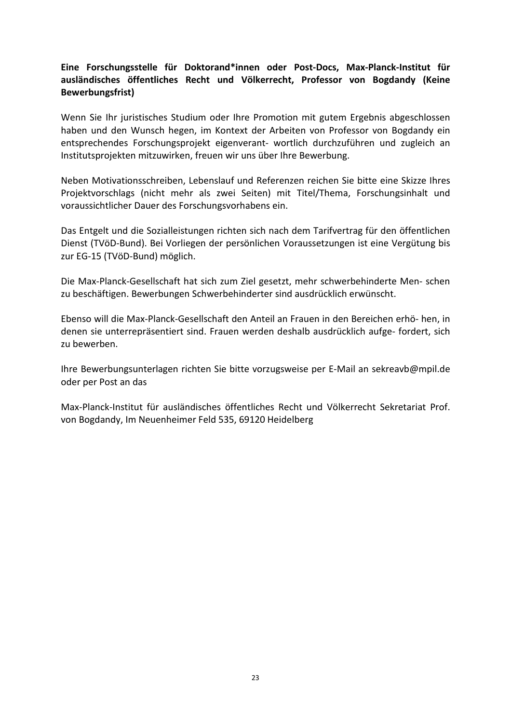## <span id="page-25-0"></span>**Eine Forschungsstelle für Doktorand\*innen oder Post-Docs, Max-Planck-Institut für ausländisches öffentliches Recht und Völkerrecht, Professor von Bogdandy (Keine Bewerbungsfrist)**

Wenn Sie Ihr juristisches Studium oder Ihre Promotion mit gutem Ergebnis abgeschlossen haben und den Wunsch hegen, im Kontext der Arbeiten von Professor von Bogdandy ein entsprechendes Forschungsprojekt eigenverant- wortlich durchzuführen und zugleich an Institutsprojekten mitzuwirken, freuen wir uns über Ihre Bewerbung.

Neben Motivationsschreiben, Lebenslauf und Referenzen reichen Sie bitte eine Skizze Ihres Projektvorschlags (nicht mehr als zwei Seiten) mit Titel/Thema, Forschungsinhalt und voraussichtlicher Dauer des Forschungsvorhabens ein.

Das Entgelt und die Sozialleistungen richten sich nach dem Tarifvertrag für den öffentlichen Dienst (TVöD-Bund). Bei Vorliegen der persönlichen Voraussetzungen ist eine Vergütung bis zur EG-15 (TVöD-Bund) möglich.

Die Max-Planck-Gesellschaft hat sich zum Ziel gesetzt, mehr schwerbehinderte Men- schen zu beschäftigen. Bewerbungen Schwerbehinderter sind ausdrücklich erwünscht.

Ebenso will die Max-Planck-Gesellschaft den Anteil an Frauen in den Bereichen erhö- hen, in denen sie unterrepräsentiert sind. Frauen werden deshalb ausdrücklich aufge- fordert, sich zu bewerben.

Ihre Bewerbungsunterlagen richten Sie bitte vorzugsweise per E-Mail an sekreavb@mpil.de oder per Post an das

Max-Planck-Institut für ausländisches öffentliches Recht und Völkerrecht Sekretariat Prof. von Bogdandy, Im Neuenheimer Feld 535, 69120 Heidelberg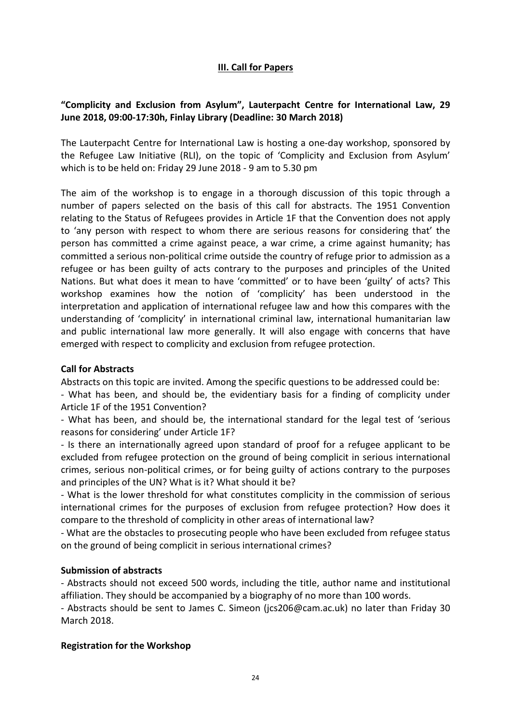## **III. Call for Papers**

## <span id="page-26-1"></span><span id="page-26-0"></span>**"Complicity and Exclusion from Asylum", Lauterpacht Centre for International Law, 29 June 2018, 09:00-17:30h, Finlay Library (Deadline: 30 March 2018)**

The Lauterpacht Centre for International Law is hosting a one-day workshop, sponsored by the Refugee Law Initiative (RLI), on the topic of 'Complicity and Exclusion from Asylum' which is to be held on: Friday 29 June 2018 - 9 am to 5.30 pm

The aim of the workshop is to engage in a thorough discussion of this topic through a number of papers selected on the basis of this call for abstracts. The 1951 Convention relating to the Status of Refugees provides in Article 1F that the Convention does not apply to 'any person with respect to whom there are serious reasons for considering that' the person has committed a crime against peace, a war crime, a crime against humanity; has committed a serious non-political crime outside the country of refuge prior to admission as a refugee or has been guilty of acts contrary to the purposes and principles of the United Nations. But what does it mean to have 'committed' or to have been 'guilty' of acts? This workshop examines how the notion of 'complicity' has been understood in the interpretation and application of international refugee law and how this compares with the understanding of 'complicity' in international criminal law, international humanitarian law and public international law more generally. It will also engage with concerns that have emerged with respect to complicity and exclusion from refugee protection.

#### **Call for Abstracts**

Abstracts on this topic are invited. Among the specific questions to be addressed could be:

- What has been, and should be, the evidentiary basis for a finding of complicity under Article 1F of the 1951 Convention?

- What has been, and should be, the international standard for the legal test of 'serious reasons for considering' under Article 1F?

- Is there an internationally agreed upon standard of proof for a refugee applicant to be excluded from refugee protection on the ground of being complicit in serious international crimes, serious non-political crimes, or for being guilty of actions contrary to the purposes and principles of the UN? What is it? What should it be?

- What is the lower threshold for what constitutes complicity in the commission of serious international crimes for the purposes of exclusion from refugee protection? How does it compare to the threshold of complicity in other areas of international law?

- What are the obstacles to prosecuting people who have been excluded from refugee status on the ground of being complicit in serious international crimes?

#### **Submission of abstracts**

- Abstracts should not exceed 500 words, including the title, author name and institutional affiliation. They should be accompanied by a biography of no more than 100 words.

- Abstracts should be sent to James C. Simeon (jcs206@cam.ac.uk) no later than Friday 30 March 2018.

#### **Registration for the Workshop**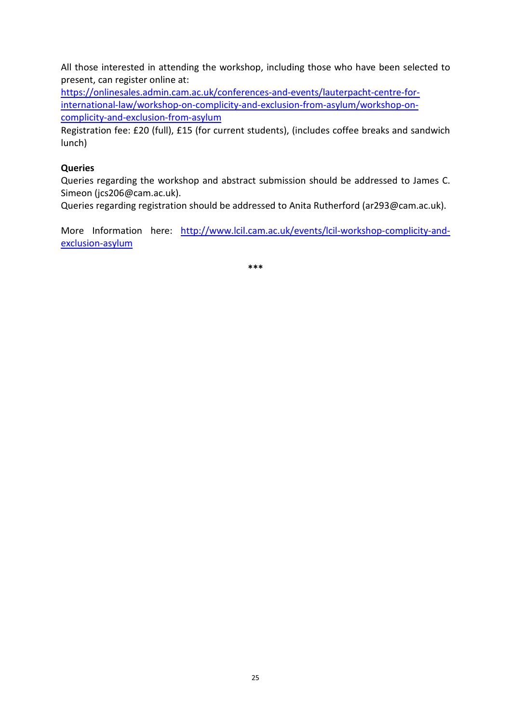All those interested in attending the workshop, including those who have been selected to present, can register online at:

[https://onlinesales.admin.cam.ac.uk/conferences-and-events/lauterpacht-centre-for](https://onlinesales.admin.cam.ac.uk/conferences-and-events/lauterpacht-centre-for-international-law/workshop-on-complicity-and-exclusion-from-asylum/workshop-on-complicity-and-exclusion-from-asylum)[international-law/workshop-on-complicity-and-exclusion-from-asylum/workshop-on](https://onlinesales.admin.cam.ac.uk/conferences-and-events/lauterpacht-centre-for-international-law/workshop-on-complicity-and-exclusion-from-asylum/workshop-on-complicity-and-exclusion-from-asylum)[complicity-and-exclusion-from-asylum](https://onlinesales.admin.cam.ac.uk/conferences-and-events/lauterpacht-centre-for-international-law/workshop-on-complicity-and-exclusion-from-asylum/workshop-on-complicity-and-exclusion-from-asylum)

Registration fee: £20 (full), £15 (for current students), (includes coffee breaks and sandwich lunch)

## **Queries**

Queries regarding the workshop and abstract submission should be addressed to James C. Simeon (jcs206@cam.ac.uk).

Queries regarding registration should be addressed to Anita Rutherford (ar293@cam.ac.uk).

More Information here: [http://www.lcil.cam.ac.uk/events/lcil-workshop-complicity-and](http://www.lcil.cam.ac.uk/events/lcil-workshop-complicity-and-exclusion-asylum)[exclusion-asylum](http://www.lcil.cam.ac.uk/events/lcil-workshop-complicity-and-exclusion-asylum)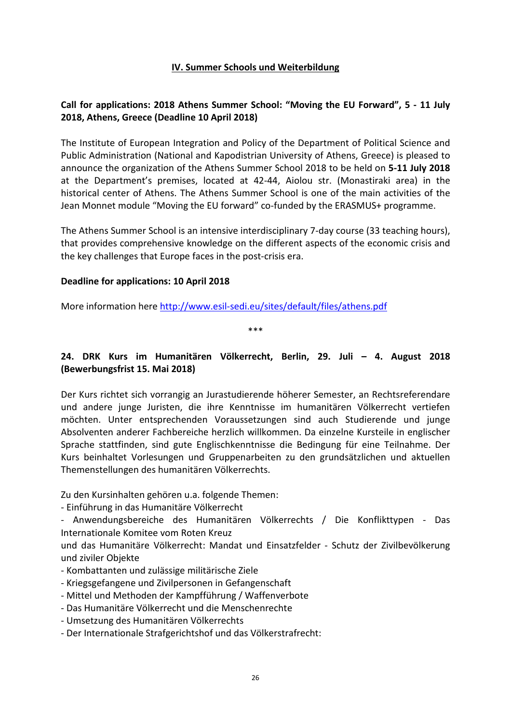## **IV. Summer Schools und Weiterbildung**

## <span id="page-28-1"></span><span id="page-28-0"></span>**Call for applications: 2018 Athens Summer School: "Moving the EU Forward", 5 - 11 July 2018, Athens, Greece (Deadline 10 April 2018)**

The Institute of European Integration and Policy of the Department of Political Science and Public Administration (National and Kapodistrian University of Athens, Greece) is pleased to announce the organization of the Athens Summer School 2018 to be held on **5-11 July 2018** at the Department's premises, located at 42-44, Aiolou str. (Monastiraki area) in the historical center of Athens. The Athens Summer School is one of the main activities of the Jean Monnet module "Moving the EU forward" co-funded by the ERASMUS+ programme.

The Athens Summer School is an intensive interdisciplinary 7-day course (33 teaching hours), that provides comprehensive knowledge on the different aspects of the economic crisis and the key challenges that Europe faces in the post-crisis era.

#### **Deadline for applications: 10 April 2018**

More information here<http://www.esil-sedi.eu/sites/default/files/athens.pdf>

\*\*\*

## <span id="page-28-2"></span>**24. DRK Kurs im Humanitären Völkerrecht, Berlin, 29. Juli – 4. August 2018 (Bewerbungsfrist 15. Mai 2018)**

Der Kurs richtet sich vorrangig an Jurastudierende höherer Semester, an Rechtsreferendare und andere junge Juristen, die ihre Kenntnisse im humanitären Völkerrecht vertiefen möchten. Unter entsprechenden Voraussetzungen sind auch Studierende und junge Absolventen anderer Fachbereiche herzlich willkommen. Da einzelne Kursteile in englischer Sprache stattfinden, sind gute Englischkenntnisse die Bedingung für eine Teilnahme. Der Kurs beinhaltet Vorlesungen und Gruppenarbeiten zu den grundsätzlichen und aktuellen Themenstellungen des humanitären Völkerrechts.

Zu den Kursinhalten gehören u.a. folgende Themen:

- Einführung in das Humanitäre Völkerrecht

- Anwendungsbereiche des Humanitären Völkerrechts / Die Konflikttypen - Das Internationale Komitee vom Roten Kreuz

und das Humanitäre Völkerrecht: Mandat und Einsatzfelder - Schutz der Zivilbevölkerung und ziviler Objekte

- Kombattanten und zulässige militärische Ziele
- Kriegsgefangene und Zivilpersonen in Gefangenschaft
- Mittel und Methoden der Kampfführung / Waffenverbote
- Das Humanitäre Völkerrecht und die Menschenrechte
- Umsetzung des Humanitären Völkerrechts
- Der Internationale Strafgerichtshof und das Völkerstrafrecht: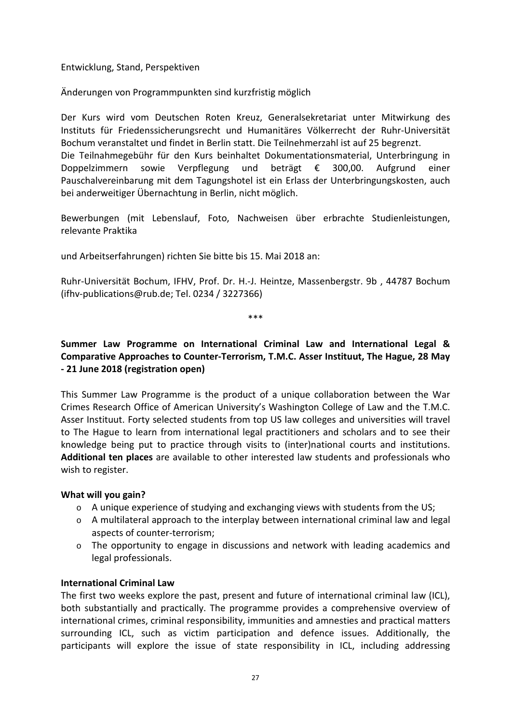Entwicklung, Stand, Perspektiven

Änderungen von Programmpunkten sind kurzfristig möglich

Der Kurs wird vom Deutschen Roten Kreuz, Generalsekretariat unter Mitwirkung des Instituts für Friedenssicherungsrecht und Humanitäres Völkerrecht der Ruhr-Universität Bochum veranstaltet und findet in Berlin statt. Die Teilnehmerzahl ist auf 25 begrenzt. Die Teilnahmegebühr für den Kurs beinhaltet Dokumentationsmaterial, Unterbringung in Doppelzimmern sowie Verpflegung und beträgt € 300,00. Aufgrund einer Pauschalvereinbarung mit dem Tagungshotel ist ein Erlass der Unterbringungskosten, auch bei anderweitiger Übernachtung in Berlin, nicht möglich.

Bewerbungen (mit Lebenslauf, Foto, Nachweisen über erbrachte Studienleistungen, relevante Praktika

und Arbeitserfahrungen) richten Sie bitte bis 15. Mai 2018 an:

Ruhr-Universität Bochum, IFHV, Prof. Dr. H.-J. Heintze, Massenbergstr. 9b , 44787 Bochum (ifhv-publications@rub.de; Tel. 0234 / 3227366)

\*\*\*

## <span id="page-29-0"></span>**Summer Law Programme on International Criminal Law and International Legal & Comparative Approaches to Counter-Terrorism, T.M.C. Asser Instituut, The Hague, 28 May - 21 June 2018 (registration open)**

This Summer Law Programme is the product of a unique collaboration between the War Crimes Research Office of American University's Washington College of Law and the T.M.C. Asser Instituut. Forty selected students from top US law colleges and universities will travel to The Hague to learn from international legal practitioners and scholars and to see their knowledge being put to practice through visits to (inter)national courts and institutions. **Additional ten places** are available to other interested law students and professionals who wish to register.

#### **What will you gain?**

- $\circ$  A unique experience of studying and exchanging views with students from the US;
- $\circ$  A multilateral approach to the interplay between international criminal law and legal aspects of counter-terrorism;
- $\circ$  The opportunity to engage in discussions and network with leading academics and legal professionals.

## **International Criminal Law**

The first two weeks explore the past, present and future of international criminal law (ICL), both substantially and practically. The programme provides a comprehensive overview of international crimes, criminal responsibility, immunities and amnesties and practical matters surrounding ICL, such as victim participation and defence issues. Additionally, the participants will explore the issue of state responsibility in ICL, including addressing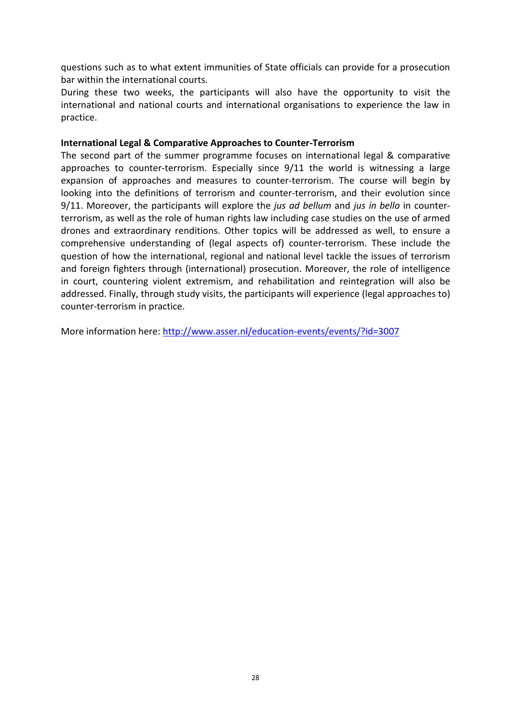questions such as to what extent immunities of State officials can provide for a prosecution bar within the international courts.

During these two weeks, the participants will also have the opportunity to visit the international and national courts and international organisations to experience the law in practice.

#### **International Legal & Comparative Approaches to Counter-Terrorism**

The second part of the summer programme focuses on international legal & comparative approaches to counter-terrorism. Especially since 9/11 the world is witnessing a large expansion of approaches and measures to counter-terrorism. The course will begin by looking into the definitions of terrorism and counter-terrorism, and their evolution since 9/11. Moreover, the participants will explore the *jus ad bellum* and *jus in bello* in counterterrorism, as well as the role of human rights law including case studies on the use of armed drones and extraordinary renditions. Other topics will be addressed as well, to ensure a comprehensive understanding of (legal aspects of) counter-terrorism. These include the question of how the international, regional and national level tackle the issues of terrorism and foreign fighters through (international) prosecution. Moreover, the role of intelligence in court, countering violent extremism, and rehabilitation and reintegration will also be addressed. Finally, through study visits, the participants will experience (legal approaches to) counter-terrorism in practice.

More information here:<http://www.asser.nl/education-events/events/?id=3007>